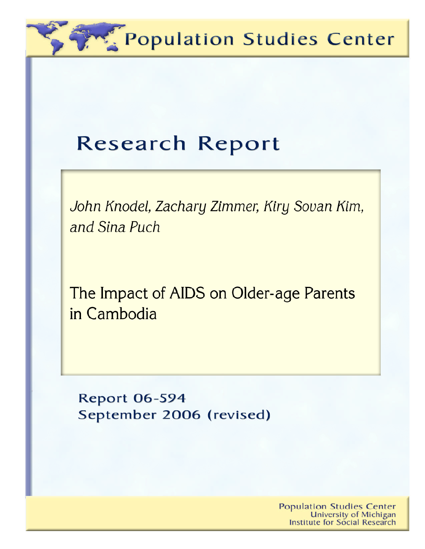Population Studies Center

# **Research Report**

John Knodel, Zachary Zimmer, Kiry Sovan Kim, and Sina Puch

The Impact of AIDS on Older-age Parents in Cambodia

**Report 06-594** September 2006 (revised)

> **Population Studies Center University of Michigan Institute for Social Research**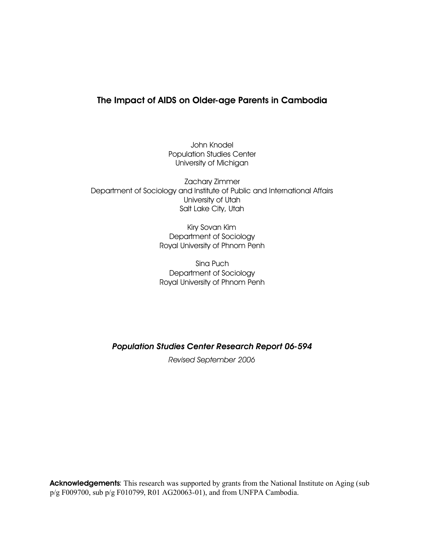# **The Impact of AIDS on Older-age Parents in Cambodia**

John Knodel Population Studies Center University of Michigan

Zachary Zimmer Department of Sociology and Institute of Public and International Affairs University of Utah Salt Lake City, Utah

> Kiry Sovan Kim Department of Sociology Royal University of Phnom Penh

> Sina Puch Department of Sociology Royal University of Phnom Penh

*Population Studies Center Research Report 06-594*

*Revised September 2006*

Acknowledgements: This research was supported by grants from the National Institute on Aging (sub p/g F009700, sub p/g F010799, R01 AG20063-01), and from UNFPA Cambodia.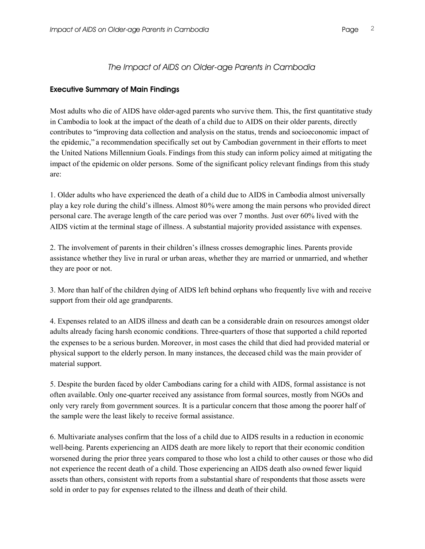### *The Impact of AIDS on Older-age Parents in Cambodia*

#### **Executive Summary of Main Findings**

Most adults who die of AIDS have older-aged parents who survive them. This, the first quantitative study in Cambodia to look at the impact of the death of a child due to AIDS on their older parents, directly contributes to "improving data collection and analysis on the status, trends and socioeconomic impact of the epidemic," a recommendation specifically set out by Cambodian government in their efforts to meet the United Nations Millennium Goals. Findings from this study can inform policy aimed at mitigating the impact of the epidemic on older persons. Some of the significant policy relevant findings from this study are:

1. Older adults who have experienced the death of a child due to AIDS in Cambodia almost universally play a key role during the child's illness. Almost 80% were among the main persons who provided direct personal care. The average length of the care period was over 7 months. Just over 60% lived with the AIDS victim at the terminal stage of illness. A substantial majority provided assistance with expenses.

2. The involvement of parents in their children's illness crosses demographic lines. Parents provide assistance whether they live in rural or urban areas, whether they are married or unmarried, and whether they are poor or not.

3. More than half of the children dying of AIDS left behind orphans who frequently live with and receive support from their old age grandparents.

4. Expenses related to an AIDS illness and death can be a considerable drain on resources amongst older adults already facing harsh economic conditions. Three-quarters of those that supported a child reported the expenses to be a serious burden. Moreover, in most cases the child that died had provided material or physical support to the elderly person. In many instances, the deceased child was the main provider of material support.

5. Despite the burden faced by older Cambodians caring for a child with AIDS, formal assistance is not often available. Only one-quarter received any assistance from formal sources, mostly from NGOs and only very rarely from government sources. It is a particular concern that those among the poorer half of the sample were the least likely to receive formal assistance.

6. Multivariate analyses confirm that the loss of a child due to AIDS results in a reduction in economic well-being. Parents experiencing an AIDS death are more likely to report that their economic condition worsened during the prior three years compared to those who lost a child to other causes or those who did not experience the recent death of a child. Those experiencing an AIDS death also owned fewer liquid assets than others, consistent with reports from a substantial share of respondents that those assets were sold in order to pay for expenses related to the illness and death of their child.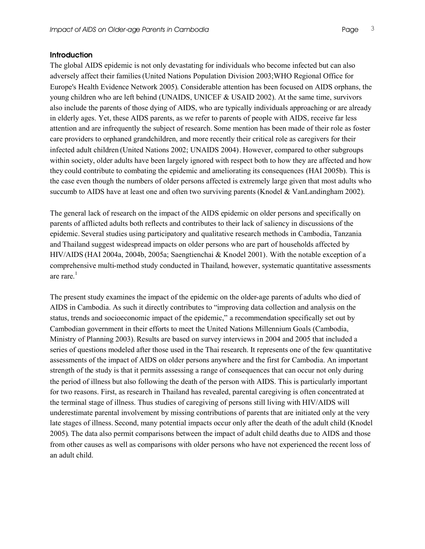#### **Introduction**

The global AIDS epidemic is not only devastating for individuals who become infected but can also adversely affect their families(United Nations Population Division 2003;WHO Regional Office for Europe's Health Evidence Network 2005). Considerable attention has been focused on AIDS orphans, the young children who are left behind (UNAIDS, UNICEF & USAID 2002). At the same time, survivors also include the parents of those dying of AIDS, who are typically individuals approaching or are already in elderly ages. Yet, these AIDS parents, as we refer to parents of people with AIDS, receive far less attention and are infrequently the subject of research. Some mention has been made of their role as foster care providers to orphaned grandchildren, and more recently their critical role as caregivers for their infected adult children (United Nations 2002; UNAIDS 2004). However, compared to other subgroups within society, older adults have been largely ignored with respect both to how they are affected and how they could contribute to combating the epidemic and ameliorating its consequences (HAI 2005b). This is the case even though the numbers of older persons affected is extremely large given that most adults who succumb to AIDS have at least one and often two surviving parents (Knodel & VanLandingham 2002).

The general lack of research on the impact of the AIDS epidemic on older persons and specifically on parents of afflicted adults both reflects and contributes to their lack of saliency in discussions of the epidemic. Several studies using participatory and qualitative research methods in Cambodia, Tanzania and Thailand suggest widespread impacts on older persons who are part of households affected by HIV/AIDS (HAI 2004a, 2004b, 2005a; Saengtienchai & Knodel 2001). With the notable exception of a comprehensive multi-method study conducted in Thailand, however, systematic quantitative assessments are rare. 1

The present study examines the impact of the epidemic on the older-age parents of adults who died of AIDS in Cambodia. As such it directly contributes to "improving data collection and analysis on the status, trends and socioeconomic impact of the epidemic," a recommendation specifically set out by Cambodian government in their efforts to meet the United Nations Millennium Goals (Cambodia, Ministry of Planning 2003). Results are based on survey interviews in 2004 and 2005 that included a series of questions modeled after those used in the Thai research. It represents one of the few quantitative assessments of the impact of AIDS on older persons anywhere and the first for Cambodia. An important strength of the study is that it permits assessing a range of consequences that can occur not only during the period of illness but also following the death of the person with AIDS. This is particularly important for two reasons. First, as research in Thailand has revealed, parental caregiving is often concentrated at the terminal stage of illness. Thus studies of caregiving of persons still living with HIV/AIDS will underestimate parental involvement by missing contributions of parents that are initiated only at the very late stages of illness. Second, many potential impacts occur only after the death of the adult child (Knodel 2005). The data also permit comparisons between the impact of adult child deaths due to AIDS and those from other causes as well as comparisons with older persons who have not experienced the recent loss of an adult child.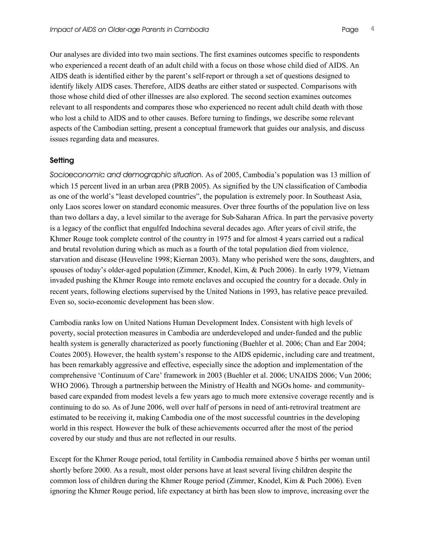Our analyses are divided into two main sections. The first examines outcomes specific to respondents who experienced a recent death of an adult child with a focus on those whose child died of AIDS. An AIDS death is identified either by the parent's self-report or through a set of questions designed to identify likely AIDS cases. Therefore, AIDS deaths are either stated or suspected. Comparisons with those whose child died of other illnesses are also explored. The second section examines outcomes relevant to all respondents and compares those who experienced no recent adult child death with those who lost a child to AIDS and to other causes. Before turning to findings, we describe some relevant aspects of the Cambodian setting, present a conceptual framework that guides our analysis, and discuss issues regarding data and measures.

#### **Setting**

*Socioeconomic and demographic situatio*n. As of 2005, Cambodia's population was 13 million of which 15 percent lived in an urban area (PRB 2005). As signified by the UN classification of Cambodia as one of the world's "least developed countries", the population is extremely poor. In Southeast Asia, only Laos scores lower on standard economic measures. Over three fourths of the population live on less than two dollars a day, a level similar to the average for Sub-Saharan Africa. In part the pervasive poverty is a legacy of the conflict that engulfed Indochina several decades ago. After years of civil strife, the Khmer Rouge took complete control of the country in 1975 and for almost 4 years carried out a radical and brutal revolution during which as much as a fourth of the total population died from violence, starvation and disease (Heuveline 1998; Kiernan 2003). Many who perished were the sons, daughters, and spouses of today's older-aged population (Zimmer, Knodel, Kim, & Puch 2006). In early 1979, Vietnam invaded pushing the Khmer Rouge into remote enclaves and occupied the country for a decade. Only in recent years, following elections supervised by the United Nations in 1993, has relative peace prevailed. Even so, socio-economic development has been slow.

Cambodia ranks low on United Nations Human Development Index. Consistent with high levels of poverty, social protection measures in Cambodia are underdeveloped and under-funded and the public health system is generally characterized as poorly functioning (Buehler et al. 2006; Chan and Ear 2004; Coates 2005). However, the health system's response to the AIDS epidemic, including care and treatment, has been remarkably aggressive and effective, especially since the adoption and implementation of the comprehensive 'Continuum of Care' framework in 2003 (Buehler et al. 2006; UNAIDS 2006; Vun 2006; WHO 2006). Through a partnership between the Ministry of Health and NGOs home- and communitybased care expanded from modest levels a few years ago to much more extensive coverage recently and is continuing to do so. As of June 2006, well over half of persons in need of anti-retroviral treatment are estimated to be receiving it, making Cambodia one of the most successful countries in the developing world in this respect. However the bulk of these achievements occurred after the most of the period covered by our study and thus are not reflected in our results.

Except for the Khmer Rouge period, total fertility in Cambodia remained above 5 births per woman until shortly before 2000. As a result, most older persons have at least several living children despite the common loss of children during the Khmer Rouge period (Zimmer, Knodel, Kim & Puch 2006). Even ignoring the Khmer Rouge period, life expectancy at birth has been slow to improve, increasing over the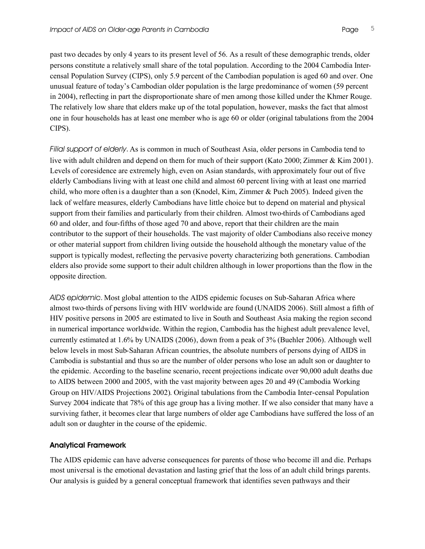past two decades by only 4 years to its present level of 56. As a result of these demographic trends, older persons constitute a relatively small share of the total population. According to the 2004 Cambodia Intercensal Population Survey (CIPS), only 5.9 percent of the Cambodian population is aged 60 and over. One unusual feature of today's Cambodian older population is the large predominance of women (59 percent in 2004), reflecting in part the disproportionate share of men among those killed under the Khmer Rouge. The relatively low share that elders make up of the total population, however, masks the fact that almost one in four households has at least one member who is age 60 or older (original tabulations from the 2004 CIPS).

*Filial support of elderly*. As is common in much of Southeast Asia, older persons in Cambodia tend to live with adult children and depend on them for much of their support (Kato 2000; Zimmer & Kim 2001). Levels of coresidence are extremely high, even on Asian standards, with approximately four out of five elderly Cambodians living with at least one child and almost 60 percent living with at least one married child, who more often is a daughter than a son (Knodel, Kim, Zimmer & Puch 2005). Indeed given the lack of welfare measures, elderly Cambodians have little choice but to depend on material and physical support from their families and particularly from their children. Almost two-thirds of Cambodians aged 60 and older, and four-fifths of those aged 70 and above, report that their children are the main contributor to the support of their households. The vast majority of older Cambodians also receive money or other material support from children living outside the household although the monetary value of the support is typically modest, reflecting the pervasive poverty characterizing both generations. Cambodian elders also provide some support to their adult children although in lower proportions than the flow in the opposite direction.

*AIDS epidemic*. Most global attention to the AIDS epidemic focuses on Sub-Saharan Africa where almost two-thirds of persons living with HIV worldwide are found (UNAIDS 2006). Still almost a fifth of HIV positive persons in 2005 are estimated to live in South and Southeast Asia making the region second in numerical importance worldwide. Within the region, Cambodia has the highest adult prevalence level, currently estimated at 1.6% by UNAIDS (2006), down from a peak of 3% (Buehler 2006). Although well below levels in most Sub-Saharan African countries, the absolute numbers of persons dying of AIDS in Cambodia is substantial and thus so are the number of older persons who lose an adult son or daughter to the epidemic. According to the baseline scenario, recent projections indicate over 90,000 adult deaths due to AIDS between 2000 and 2005, with the vast majority between ages 20 and 49 (Cambodia Working Group on HIV/AIDS Projections 2002). Original tabulations from the Cambodia Inter-censal Population Survey 2004 indicate that 78% of this age group has a living mother. If we also consider that many have a surviving father, it becomes clear that large numbers of older age Cambodians have suffered the loss of an adult son or daughter in the course of the epidemic.

#### **Analytical Framework**

The AIDS epidemic can have adverse consequences for parents of those who become ill and die. Perhaps most universal is the emotional devastation and lasting grief that the loss of an adult child brings parents. Our analysis is guided by a general conceptual framework that identifies seven pathways and their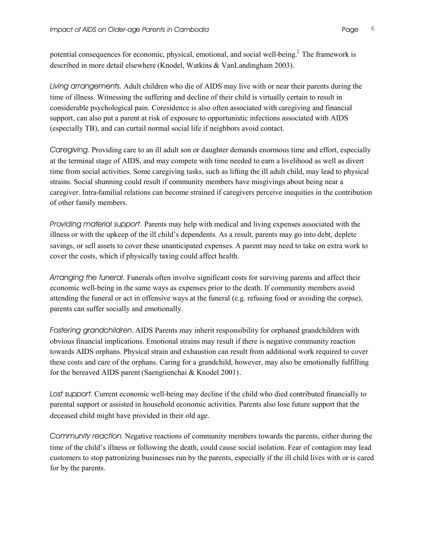potential consequences for economic, physical, emotional, and social well-being.<sup>2</sup> The framework is described in more detail elsewhere (Knodel, Watkins & VanLandingham 2003).

*Living arrangements*. Adult children who die of AIDS may live with or near their parents during the time of illness. Witnessing the suffering and decline of their child is virtually certain to result in considerable psychological pain. Coresidence is also often associated with caregiving and financial support, can also put a parent at risk of exposure to opportunistic infections associated with AIDS (especially TB), and can curtail normal social life if neighbors avoid contact.

*Caregiving*. Providing care to an ill adult son or daughter demands enormous time and effort, especially at the terminal stage of AIDS, and may compete with time needed to earn a livelihood as well as divert time from social activities. Some caregiving tasks, such as lifting the ill adult child, may lead to physical strains. Social shunning could result if community members have misgivings about being near a caregiver. Intra-familial relations can become strained if caregivers perceive inequities in the contribution of other family members.

*Providing material support*. Parents may help with medical and living expenses associated with the illness or with the upkeep of the ill child's dependents. As a result, parents may go into debt, deplete savings, or sell assets to cover these unanticipated expenses. A parent may need to take on extra work to cover the costs, which if physically taxing could affect health.

*Arranging the funeral*. Funerals often involve significant costs for surviving parents and affect their economic well-being in the same ways as expenses prior to the death. If community members avoid attending the funeral or act in offensive ways at the funeral (e.g. refusing food or avoiding the corpse), parents can suffer socially and emotionally.

*Fostering grandchildren*. AIDS Parents may inherit responsibility for orphaned grandchildren with obvious financial implications. Emotional strains may result if there is negative community reaction towards AIDS orphans. Physical strain and exhaustion can result from additional work required to cover these costs and care of the orphans. Caring for a grandchild, however, may also be emotionally fulfilling for the bereaved AIDS parent (Saengtienchai & Knodel 2001).

*Lost support*. Current economic well-being may decline if the child who died contributed financially to parental support or assisted in household economic activities. Parents also lose future support that the deceased child might have provided in their old age.

*Community reaction*. Negative reactions of community members towards the parents, either during the time of the child's illness or following the death, could cause social isolation. Fear of contagion may lead customers to stop patronizing businesses run by the parents, especially if the ill child lives with or is cared for by the parents.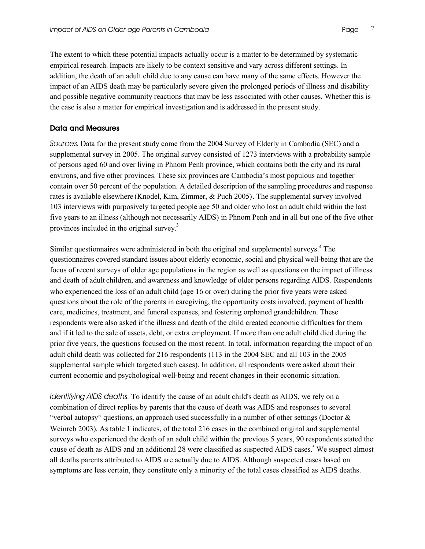The extent to which these potential impacts actually occur is a matter to be determined by systematic empirical research. Impacts are likely to be context sensitive and vary across different settings. In addition, the death of an adult child due to any cause can have many of the same effects. However the impact of an AIDS death may be particularly severe given the prolonged periods of illness and disability and possible negative community reactions that may be less associated with other causes. Whether this is the case is also a matter for empirical investigation and is addressed in the present study.

#### **Data and Measures**

*Sources*. Data for the present study come from the 2004 Survey of Elderly in Cambodia (SEC) and a supplemental survey in 2005. The original survey consisted of 1273 interviews with a probability sample of persons aged 60 and over living in Phnom Penh province, which contains both the city and its rural environs, and five other provinces. These six provinces are Cambodia's most populous and together contain over 50 percent of the population. A detailed description of the sampling procedures and response rates is available elsewhere (Knodel, Kim, Zimmer, & Puch 2005). The supplemental survey involved 103 interviews with purposively targeted people age 50 and older who lost an adult child within the last five years to an illness (although not necessarily AIDS) in Phnom Penh and in all but one of the five other provinces included in the original survey.<sup>3</sup>

Similar questionnaires were administered in both the original and supplemental surveys.<sup>4</sup> The questionnaires covered standard issues about elderly economic, social and physical well-being that are the focus of recent surveys of older age populations in the region as well as questions on the impact of illness and death of adult children, and awareness and knowledge of older persons regarding AIDS. Respondents who experienced the loss of an adult child (age 16 or over) during the prior five years were asked questions about the role of the parents in caregiving, the opportunity costs involved, payment of health care, medicines, treatment, and funeral expenses, and fostering orphaned grandchildren. These respondents were also asked if the illness and death of the child created economic difficulties for them and if it led to the sale of assets, debt, or extra employment. If more than one adult child died during the prior five years, the questions focused on the most recent. In total, information regarding the impact of an adult child death was collected for 216 respondents (113 in the 2004 SEC and all 103 in the 2005 supplemental sample which targeted such cases). In addition, all respondents were asked about their current economic and psychological well-being and recent changes in their economic situation.

*Identifying AIDS deaths*. To identify the cause of an adult child's death as AIDS, we rely on a combination of direct replies by parents that the cause of death was AIDS and responses to several "verbal autopsy" questions, an approach used successfully in a number of other settings (Doctor  $\&$ Weinreb 2003). As table 1 indicates, of the total 216 cases in the combined original and supplemental surveys who experienced the death of an adult child within the previous 5 years, 90 respondents stated the cause of death as AIDS and an additional 28 were classified as suspected AIDS cases.<sup>5</sup> We suspect almost all deaths parents attributed to AIDS are actually due to AIDS. Although suspected cases based on symptoms are less certain, they constitute only a minority of the total cases classified as AIDS deaths.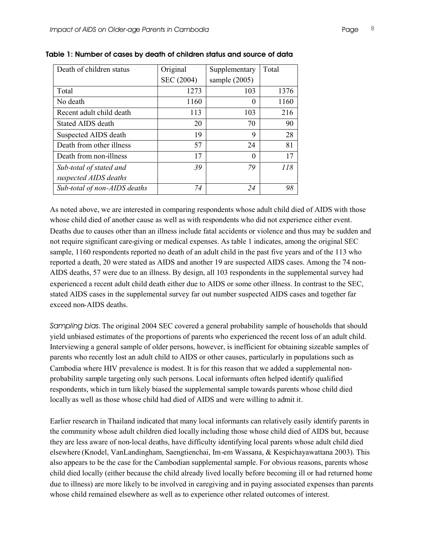| Death of children status     | Original   | Supplementary   | Total |
|------------------------------|------------|-----------------|-------|
|                              | SEC (2004) | sample $(2005)$ |       |
| Total                        | 1273       | 103             | 1376  |
| No death                     | 1160       | 0               | 1160  |
| Recent adult child death     | 113        | 103             | 216   |
| <b>Stated AIDS death</b>     | 20         | 70              | 90    |
| Suspected AIDS death         | 19         | 9               | 28    |
| Death from other illness     | 57         | 24              | 81    |
| Death from non-illness       | 17         | $\theta$        | 17    |
| Sub-total of stated and      | 39         | 79              | 118   |
| suspected AIDS deaths        |            |                 |       |
| Sub-total of non-AIDS deaths | 74         | 24              | 98    |

**Table 1: Number of cases by death of children status and source of data**

As noted above, we are interested in comparing respondents whose adult child died of AIDS with those whose child died of another cause as well as with respondents who did not experience either event. Deaths due to causes other than an illness include fatal accidents or violence and thus may be sudden and not require significant care-giving or medical expenses. As table 1 indicates, among the original SEC sample, 1160 respondents reported no death of an adult child in the past five years and of the 113 who reported a death, 20 were stated as AIDS and another 19 are suspected AIDS cases. Among the 74 non-AIDS deaths, 57 were due to an illness. By design, all 103 respondents in the supplemental survey had experienced a recent adult child death either due to AIDS or some other illness. In contrast to the SEC, stated AIDS cases in the supplemental survey far out number suspected AIDS cases and together far exceed non-AIDS deaths.

*Sampling bias*. The original 2004 SEC covered a general probability sample of households that should yield unbiased estimates of the proportions of parents who experienced the recent loss of an adult child. Interviewing a general sample of older persons, however, is inefficient for obtaining sizeable samples of parents who recently lost an adult child to AIDS or other causes, particularly in populations such as Cambodia where HIV prevalence is modest. It is for this reason that we added a supplemental nonprobability sample targeting only such persons. Local informants often helped identify qualified respondents, which in turn likely biased the supplemental sample towards parents whose child died locally as well as those whose child had died of AIDS and were willing to admit it.

Earlier research in Thailand indicated that many local informants can relatively easily identify parents in the community whose adult children died locally including those whose child died of AIDS but, because they are less aware of non-local deaths, have difficulty identifying local parents whose adult child died elsewhere (Knodel, VanLandingham, Saengtienchai, Im-em Wassana, & Kespichayawattana 2003). This also appears to be the case for the Cambodian supplemental sample. For obvious reasons, parents whose child died locally (either because the child already lived locally before becoming ill or had returned home due to illness) are more likely to be involved in caregiving and in paying associated expenses than parents whose child remained elsewhere as well as to experience other related outcomes of interest.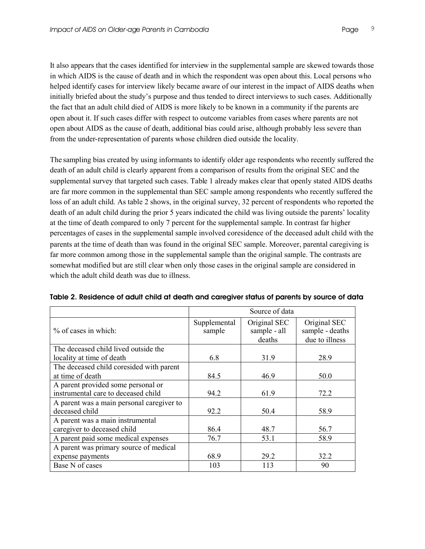It also appears that the cases identified for interview in the supplemental sample are skewed towards those in which AIDS is the cause of death and in which the respondent was open about this. Local persons who helped identify cases for interview likely became aware of our interest in the impact of AIDS deaths when initially briefed about the study's purpose and thus tended to direct interviews to such cases. Additionally the fact that an adult child died of AIDS is more likely to be known in a community if the parents are open about it. If such cases differ with respect to outcome variables from cases where parents are not open about AIDS as the cause of death, additional bias could arise, although probably less severe than from the under-representation of parents whose children died outside the locality.

The sampling bias created by using informants to identify older age respondents who recently suffered the death of an adult child is clearly apparent from a comparison of results from the original SEC and the supplemental survey that targeted such cases. Table 1 already makes clear that openly stated AIDS deaths are far more common in the supplemental than SEC sample among respondents who recently suffered the loss of an adult child. As table 2 shows, in the original survey, 32 percent of respondents who reported the death of an adult child during the prior 5 years indicated the child was living outside the parents' locality at the time of death compared to only 7 percent for the supplemental sample. In contrast far higher percentages of cases in the supplemental sample involved coresidence of the deceased adult child with the parents at the time of death than was found in the original SEC sample. Moreover, parental caregiving is far more common among those in the supplemental sample than the original sample. The contrasts are somewhat modified but are still clear when only those cases in the original sample are considered in which the adult child death was due to illness.

|                                                                           | Source of data         |                                        |                                                   |  |  |  |  |
|---------------------------------------------------------------------------|------------------------|----------------------------------------|---------------------------------------------------|--|--|--|--|
| % of cases in which:                                                      | Supplemental<br>sample | Original SEC<br>sample - all<br>deaths | Original SEC<br>sample - deaths<br>due to illness |  |  |  |  |
| The deceased child lived outside the                                      |                        |                                        |                                                   |  |  |  |  |
| locality at time of death                                                 | 6.8                    | 31.9                                   | 28.9                                              |  |  |  |  |
| The deceased child coresided with parent                                  |                        |                                        |                                                   |  |  |  |  |
| at time of death                                                          | 84.5                   | 46.9                                   | 50.0                                              |  |  |  |  |
| A parent provided some personal or<br>instrumental care to deceased child | 94.2                   | 61.9                                   | 72.2                                              |  |  |  |  |
| A parent was a main personal caregiver to<br>deceased child               | 92.2                   | 50.4                                   | 58.9                                              |  |  |  |  |
| A parent was a main instrumental<br>caregiver to deceased child           | 86.4                   | 48.7                                   | 56.7                                              |  |  |  |  |
| A parent paid some medical expenses                                       | 76.7                   | 53.1                                   | 58.9                                              |  |  |  |  |
| A parent was primary source of medical                                    |                        |                                        |                                                   |  |  |  |  |
| expense payments                                                          | 68.9                   | 29.2                                   | 32.2                                              |  |  |  |  |
| Base N of cases                                                           | 103                    | 113                                    | 90                                                |  |  |  |  |

| Table 2. Residence of adult child at death and caregiver status of parents by source of data |  |  |  |  |
|----------------------------------------------------------------------------------------------|--|--|--|--|
|                                                                                              |  |  |  |  |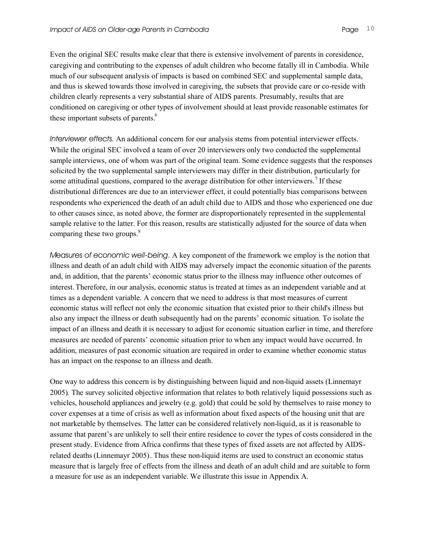Even the original SEC results make clear that there is extensive involvement of parents in coresidence, caregiving and contributing to the expenses of adult children who become fatally ill in Cambodia. While much of our subsequent analysis of impacts is based on combined SEC and supplemental sample data, and thus is skewed towards those involved in caregiving, the subsets that provide care or co-reside with children clearly represents a very substantial share of AIDS parents. Presumably, results that are conditioned on caregiving or other types of involvement should at least provide reasonable estimates for these important subsets of parents.<sup>6</sup>

*Interviewer effects*. An additional concern for our analysis stems from potential interviewer effects. While the original SEC involved a team of over 20 interviewers only two conducted the supplemental sample interviews, one of whom was part of the original team. Some evidence suggests that the responses solicited by the two supplemental sample interviewers may differ in their distribution, particularly for some attitudinal questions, compared to the average distribution for other interviewers.<sup>7</sup> If these distributional differences are due to an interviewer effect, it could potentially bias comparisons between respondents who experienced the death of an adult child due to AIDS and those who experienced one due to other causes since, as noted above, the former are disproportionately represented in the supplemental sample relative to the latter. For this reason, results are statistically adjusted for the source of data when comparing these two groups.<sup>8</sup>

*Measures of economic well-being*. A key component of the framework we employ is the notion that illness and death of an adult child with AIDS may adversely impact the economic situation of the parents and, in addition, that the parents' economic status prior to the illness may influence other outcomes of interest. Therefore, in our analysis, economic status is treated at times as an independent variable and at times as a dependent variable. A concern that we need to address is that most measures of current economic status will reflect not only the economic situation that existed prior to their child's illness but also any impact the illness or death subsequently had on the parents' economic situation. To isolate the impact of an illness and death it is necessary to adjust for economic situation earlier in time, and therefore measures are needed of parents' economic situation prior to when any impact would have occurred. In addition, measures of past economic situation are required in order to examine whether economic status has an impact on the response to an illness and death.

One way to address this concern is by distinguishing between liquid and non-liquid assets (Linnemayr 2005). The survey solicited objective information that relates to both relatively liquid possessions such as vehicles, household appliances and jewelry (e.g. gold) that could be sold by themselves to raise money to cover expenses at a time of crisis as well as information about fixed aspects of the housing unit that are not marketable by themselves. The latter can be considered relatively non-liquid, as it is reasonable to assume that parent's are unlikely to sell their entire residence to cover the types of costs considered in the present study. Evidence from Africa confirms that these types of fixed assets are not affected by AIDSrelated deaths (Linnemayr 2005). Thus these non-liquid items are used to construct an economic status measure that is largely free of effects from the illness and death of an adult child and are suitable to form a measure for use as an independent variable. We illustrate this issue in Appendix A.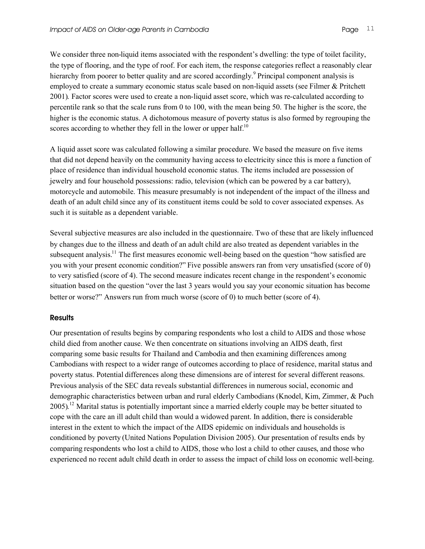We consider three non-liquid items associated with the respondent's dwelling: the type of toilet facility, the type of flooring, and the type of roof. For each item, the response categories reflect a reasonably clear hierarchy from poorer to better quality and are scored accordingly.<sup>9</sup> Principal component analysis is employed to create a summary economic status scale based on non-liquid assets (see Filmer & Pritchett 2001). Factor scores were used to create a non-liquid asset score, which was re-calculated according to percentile rank so that the scale runs from 0 to 100, with the mean being 50. The higher is the score, the higher is the economic status. A dichotomous measure of poverty status is also formed by regrouping the scores according to whether they fell in the lower or upper half.<sup>10</sup>

A liquid asset score was calculated following a similar procedure. We based the measure on five items that did not depend heavily on the community having access to electricity since this is more a function of place of residence than individual household economic status. The items included are possession of jewelry and four household possessions: radio, television (which can be powered by a car battery), motorcycle and automobile. This measure presumably is not independent of the impact of the illness and death of an adult child since any of its constituent items could be sold to cover associated expenses. As such it is suitable as a dependent variable.

Several subjective measures are also included in the questionnaire. Two of these that are likely influenced by changes due to the illness and death of an adult child are also treated as dependent variables in the subsequent analysis.<sup>11</sup> The first measures economic well-being based on the question "how satisfied are you with your present economic condition?" Five possible answers ran from very unsatisfied (score of 0) to very satisfied (score of 4). The second measure indicates recent change in the respondent's economic situation based on the question "over the last 3 years would you say your economic situation has become better or worse?" Answers run from much worse (score of 0) to much better (score of 4).

#### **Results**

Our presentation of results begins by comparing respondents who lost a child to AIDS and those whose child died from another cause. We then concentrate on situations involving an AIDS death, first comparing some basic results for Thailand and Cambodia and then examining differences among Cambodians with respect to a wider range of outcomes according to place of residence, marital status and poverty status. Potential differences along these dimensions are of interest for several different reasons. Previous analysis of the SEC data reveals substantial differences in numerous social, economic and demographic characteristics between urban and rural elderly Cambodians (Knodel, Kim, Zimmer, & Puch 2005).<sup>12</sup> Marital status is potentially important since a married elderly couple may be better situated to cope with the care an ill adult child than would a widowed parent. In addition, there is considerable interest in the extent to which the impact of the AIDS epidemic on individuals and households is conditioned by poverty (United Nations Population Division 2005). Our presentation of results ends by comparing respondents who lost a child to AIDS, those who lost a child to other causes, and those who experienced no recent adult child death in order to assess the impact of child loss on economic well-being.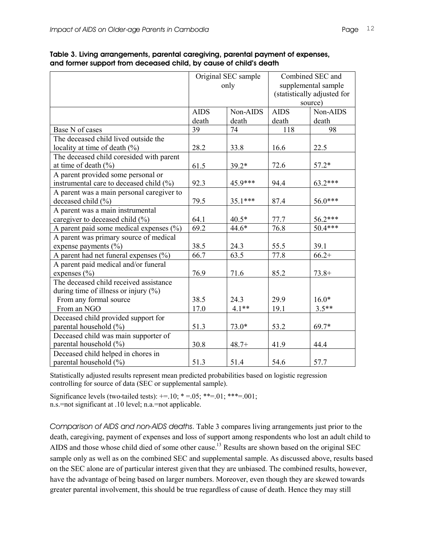|                                             |             | Original SEC sample | Combined SEC and            |           |  |  |
|---------------------------------------------|-------------|---------------------|-----------------------------|-----------|--|--|
|                                             |             | only                | supplemental sample         |           |  |  |
|                                             |             |                     | (statistically adjusted for |           |  |  |
|                                             |             |                     |                             | source)   |  |  |
|                                             | <b>AIDS</b> | Non-AIDS            | <b>AIDS</b>                 | Non-AIDS  |  |  |
|                                             | death       | death               | death                       | death     |  |  |
| Base N of cases                             | 39          | 74                  | 118                         | 98        |  |  |
| The deceased child lived outside the        |             |                     |                             |           |  |  |
| locality at time of death $(\%)$            | 28.2        | 33.8                | 16.6                        | 22.5      |  |  |
| The deceased child coresided with parent    |             |                     |                             |           |  |  |
| at time of death $(\% )$                    | 61.5        | $39.2*$             | 72.6                        | $57.2*$   |  |  |
| A parent provided some personal or          |             |                     |                             |           |  |  |
| instrumental care to deceased child (%)     | 92.3        | 45.9***             | 94.4                        | 63.2***   |  |  |
| A parent was a main personal caregiver to   |             |                     |                             |           |  |  |
| deceased child (%)                          | 79.5        | 35.1***             | 87.4                        | 56.0***   |  |  |
| A parent was a main instrumental            |             |                     |                             |           |  |  |
| caregiver to deceased child (%)             | 64.1        | $40.5*$             | 77.7                        | 56.2***   |  |  |
| A parent paid some medical expenses $(\% )$ | 69.2        | $44.6*$             | 76.8                        | $50.4***$ |  |  |
| A parent was primary source of medical      |             |                     |                             |           |  |  |
| expense payments $(\% )$                    | 38.5        | 24.3                | 55.5                        | 39.1      |  |  |
| A parent had net funeral expenses $(\% )$   | 66.7        | 63.5                | 77.8                        | $66.2+$   |  |  |
| A parent paid medical and/or funeral        |             |                     |                             |           |  |  |
| expenses $(\% )$                            | 76.9        | 71.6                | 85.2                        | $73.8+$   |  |  |
| The deceased child received assistance      |             |                     |                             |           |  |  |
| during time of illness or injury $(\%)$     |             |                     |                             |           |  |  |
| From any formal source                      | 38.5        | 24.3                | 29.9                        | $16.0*$   |  |  |
| From an NGO                                 | 17.0        | $4.1**$             | 19.1                        | $3.5**$   |  |  |
| Deceased child provided support for         |             |                     |                             |           |  |  |
| parental household (%)                      | 51.3        | 73.0*               | 53.2                        | 69.7*     |  |  |
| Deceased child was main supporter of        |             |                     |                             |           |  |  |
| parental household (%)                      | 30.8        | $48.7+$             | 41.9                        | 44.4      |  |  |
| Deceased child helped in chores in          |             |                     |                             |           |  |  |
| parental household (%)                      | 51.3        | 51.4                | 54.6                        | 57.7      |  |  |

**Table 3. Living arrangements, parental caregiving, parental payment of expenses, and former support from deceased child, by cause of child's death**

Statistically adjusted results represent mean predicted probabilities based on logistic regression controlling for source of data (SEC or supplemental sample).

Significance levels (two-tailed tests):  $+=10$ ;  $*=0.5$ ;  $**=0.01$ ;  $***=0.01$ ; n.s.=not significant at .10 level; n.a.=not applicable.

*Comparison of AIDS and non-AIDS deaths*. Table 3 compares living arrangements just prior to the death, caregiving, payment of expenses and loss of support among respondents who lost an adult child to AIDS and those whose child died of some other cause.<sup>13</sup> Results are shown based on the original SEC sample only as well as on the combined SEC and supplemental sample. As discussed above, results based on the SEC alone are of particular interest given that they are unbiased. The combined results, however, have the advantage of being based on larger numbers. Moreover, even though they are skewed towards greater parental involvement, this should be true regardless of cause of death. Hence they may still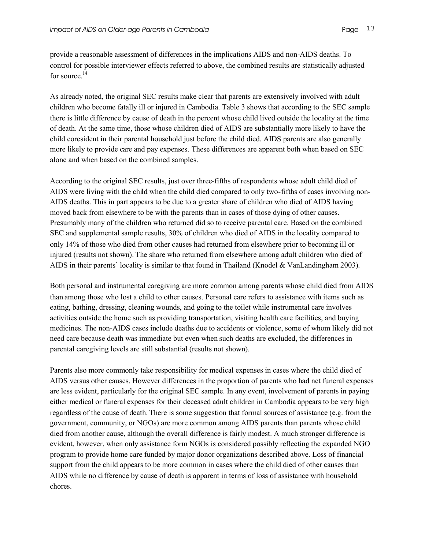provide a reasonable assessment of differences in the implications AIDS and non-AIDS deaths. To control for possible interviewer effects referred to above, the combined results are statistically adjusted for source.<sup>14</sup>

As already noted, the original SEC results make clear that parents are extensively involved with adult children who become fatally ill or injured in Cambodia. Table 3 shows that according to the SEC sample there is little difference by cause of death in the percent whose child lived outside the locality at the time of death. At the same time, those whose children died of AIDS are substantially more likely to have the child coresident in their parental household just before the child died. AIDS parents are also generally more likely to provide care and pay expenses. These differences are apparent both when based on SEC alone and when based on the combined samples.

According to the original SEC results, just over three-fifths of respondents whose adult child died of AIDS were living with the child when the child died compared to only two-fifths of cases involving non-AIDS deaths. This in part appears to be due to a greater share of children who died of AIDS having moved back from elsewhere to be with the parents than in cases of those dying of other causes. Presumably many of the children who returned did so to receive parental care. Based on the combined SEC and supplemental sample results, 30% of children who died of AIDS in the locality compared to only 14% of those who died from other causes had returned from elsewhere prior to becoming ill or injured (results not shown). The share who returned from elsewhere among adult children who died of AIDS in their parents' locality is similar to that found in Thailand (Knodel & VanLandingham 2003).

Both personal and instrumental caregiving are more common among parents whose child died from AIDS than among those who lost a child to other causes. Personal care refers to assistance with items such as eating, bathing, dressing, cleaning wounds, and going to the toilet while instrumental care involves activities outside the home such as providing transportation, visiting health care facilities, and buying medicines. The non-AIDS cases include deaths due to accidents or violence, some of whom likely did not need care because death was immediate but even when such deaths are excluded, the differences in parental caregiving levels are still substantial (results not shown).

Parents also more commonly take responsibility for medical expenses in cases where the child died of AIDS versus other causes. However differences in the proportion of parents who had net funeral expenses are less evident, particularly for the original SEC sample. In any event, involvement of parents in paying either medical or funeral expenses for their deceased adult children in Cambodia appears to be very high regardless of the cause of death. There is some suggestion that formal sources of assistance (e.g. from the government, community, or NGOs) are more common among AIDS parents than parents whose child died from another cause, although the overall difference is fairly modest. A much stronger difference is evident, however, when only assistance form NGOs is considered possibly reflecting the expanded NGO program to provide home care funded by major donor organizations described above. Loss of financial support from the child appears to be more common in cases where the child died of other causes than AIDS while no difference by cause of death is apparent in terms of loss of assistance with household chores.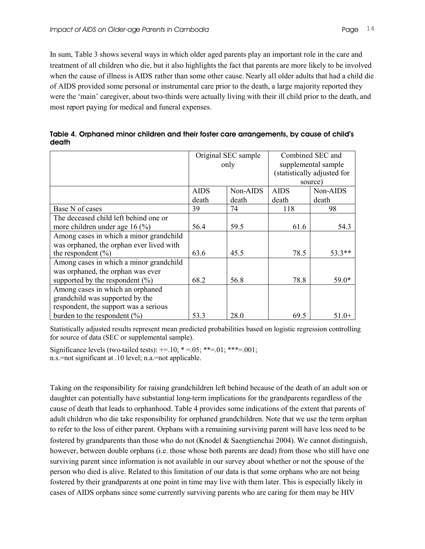In sum, Table 3 shows several ways in which older aged parents play an important role in the care and treatment of all children who die, but it also highlights the fact that parents are more likely to be involved when the cause of illness is AIDS rather than some other cause. Nearly all older adults that had a child die of AIDS provided some personal or instrumental care prior to the death, a large majority reported they were the 'main' caregiver, about two-thirds were actually living with their ill child prior to the death, and most report paying for medical and funeral expenses.

| Table 4. Orphaned minor children and their foster care arrangements, by cause of child's |  |
|------------------------------------------------------------------------------------------|--|
| death                                                                                    |  |

|                                          |             | Original SEC sample<br>only | Combined SEC and<br>supplemental sample<br>(statistically adjusted for |          |  |
|------------------------------------------|-------------|-----------------------------|------------------------------------------------------------------------|----------|--|
|                                          |             |                             |                                                                        | source)  |  |
|                                          | <b>AIDS</b> | Non-AIDS                    | <b>AIDS</b>                                                            | Non-AIDS |  |
|                                          | death       | death                       | death                                                                  | death    |  |
| Base N of cases                          | 39          | 74                          | 118                                                                    | 98       |  |
| The deceased child left behind one or    |             |                             |                                                                        |          |  |
| more children under age 16 $(%$          | 56.4        | 59.5                        | 61.6                                                                   | 54.3     |  |
| Among cases in which a minor grandchild  |             |                             |                                                                        |          |  |
| was orphaned, the orphan ever lived with |             |                             |                                                                        |          |  |
| the respondent $(\% )$                   | 63.6        | 45.5                        | 78.5                                                                   | 53.3**   |  |
| Among cases in which a minor grandchild  |             |                             |                                                                        |          |  |
| was orphaned, the orphan was ever        |             |                             |                                                                        |          |  |
| supported by the respondent $(\% )$      | 68.2        | 56.8                        | 78.8                                                                   | $59.0*$  |  |
| Among cases in which an orphaned         |             |                             |                                                                        |          |  |
| grandchild was supported by the          |             |                             |                                                                        |          |  |
| respondent, the support was a serious    |             |                             |                                                                        |          |  |
| burden to the respondent $(\% )$         | 53.3        | 28.0                        | 69.5                                                                   | $51.0+$  |  |

Statistically adjusted results represent mean predicted probabilities based on logistic regression controlling for source of data (SEC or supplemental sample).

Significance levels (two-tailed tests):  $+= 10; * = 05; ** = 01; ** = 001;$ n.s.=not significant at .10 level; n.a.=not applicable.

Taking on the responsibility for raising grandchildren left behind because of the death of an adult son or daughter can potentially have substantial long-term implications for the grandparents regardless of the cause of death that leads to orphanhood. Table 4 provides some indications of the extent that parents of adult children who die take responsibility for orphaned grandchildren. Note that we use the term orphan to refer to the loss of either parent. Orphans with a remaining surviving parent will have less need to be fostered by grandparents than those who do not (Knodel & Saengtienchai 2004). We cannot distinguish, however, between double orphans (i.e. those whose both parents are dead) from those who still have one surviving parent since information is not available in our survey about whether or not the spouse of the person who died is alive. Related to this limitation of our data is that some orphans who are not being fostered by their grandparents at one point in time may live with them later. This is especially likely in cases of AIDS orphans since some currently surviving parents who are caring for them may be HIV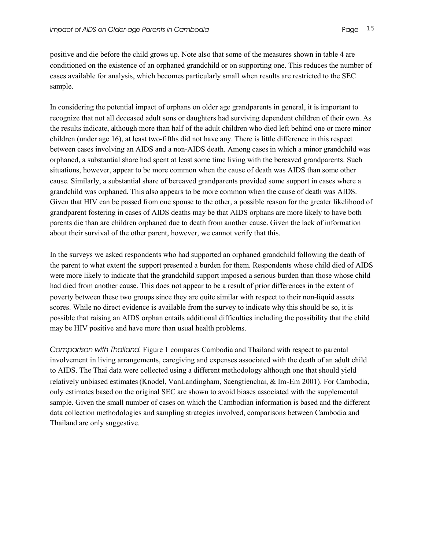positive and die before the child grows up. Note also that some of the measures shown in table 4 are conditioned on the existence of an orphaned grandchild or on supporting one. This reduces the number of cases available for analysis, which becomes particularly small when results are restricted to the SEC sample.

In considering the potential impact of orphans on older age grandparents in general, it is important to recognize that not all deceased adult sons or daughters had surviving dependent children of their own. As the results indicate, although more than half of the adult children who died left behind one or more minor children (under age 16), at least two-fifths did not have any. There is little difference in this respect between cases involving an AIDS and a non-AIDS death. Among cases in which a minor grandchild was orphaned, a substantial share had spent at least some time living with the bereaved grandparents. Such situations, however, appear to be more common when the cause of death was AIDS than some other cause. Similarly, a substantial share of bereaved grandparents provided some support in cases where a grandchild was orphaned. This also appears to be more common when the cause of death was AIDS. Given that HIV can be passed from one spouse to the other, a possible reason for the greater likelihood of grandparent fostering in cases of AIDS deaths may be that AIDS orphans are more likely to have both parents die than are children orphaned due to death from another cause. Given the lack of information about their survival of the other parent, however, we cannot verify that this.

In the surveys we asked respondents who had supported an orphaned grandchild following the death of the parent to what extent the support presented a burden for them. Respondents whose child died of AIDS were more likely to indicate that the grandchild support imposed a serious burden than those whose child had died from another cause. This does not appear to be a result of prior differences in the extent of poverty between these two groups since they are quite similar with respect to their non-liquid assets scores. While no direct evidence is available from the survey to indicate why this should be so, it is possible that raising an AIDS orphan entails additional difficulties including the possibility that the child may be HIV positive and have more than usual health problems.

*Comparison with Thailand*. Figure 1 compares Cambodia and Thailand with respect to parental involvement in living arrangements, caregiving and expenses associated with the death of an adult child to AIDS. The Thai data were collected using a different methodology although one that should yield relatively unbiased estimates(Knodel, VanLandingham, Saengtienchai, & Im-Em 2001). For Cambodia, only estimates based on the original SEC are shown to avoid biases associated with the supplemental sample. Given the small number of cases on which the Cambodian information is based and the different data collection methodologies and sampling strategies involved, comparisons between Cambodia and Thailand are only suggestive.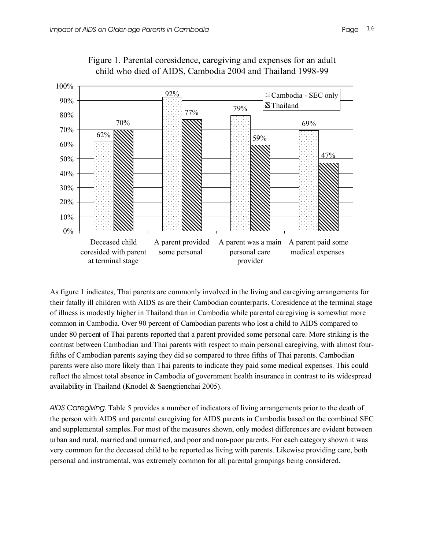

Figure 1. Parental coresidence, caregiving and expenses for an adult child who died of AIDS, Cambodia 2004 and Thailand 1998-99

As figure 1 indicates, Thai parents are commonly involved in the living and caregiving arrangements for their fatally ill children with AIDS as are their Cambodian counterparts. Coresidence at the terminal stage of illness is modestly higher in Thailand than in Cambodia while parental caregiving is somewhat more common in Cambodia. Over 90 percent of Cambodian parents who lost a child to AIDS compared to under 80 percent of Thai parents reported that a parent provided some personal care. More striking is the contrast between Cambodian and Thai parents with respect to main personal caregiving, with almost fourfifths of Cambodian parents saying they did so compared to three fifths of Thai parents. Cambodian parents were also more likely than Thai parents to indicate they paid some medical expenses. This could reflect the almost total absence in Cambodia of government health insurance in contrast to its widespread availability in Thailand (Knodel & Saengtienchai 2005).

*AIDS Caregiving*. Table 5 provides a number of indicators of living arrangements prior to the death of the person with AIDS and parental caregiving for AIDS parents in Cambodia based on the combined SEC and supplemental samples. For most of the measures shown, only modest differences are evident between urban and rural, married and unmarried, and poor and non-poor parents. For each category shown it was very common for the deceased child to be reported as living with parents. Likewise providing care, both personal and instrumental, was extremely common for all parental groupings being considered.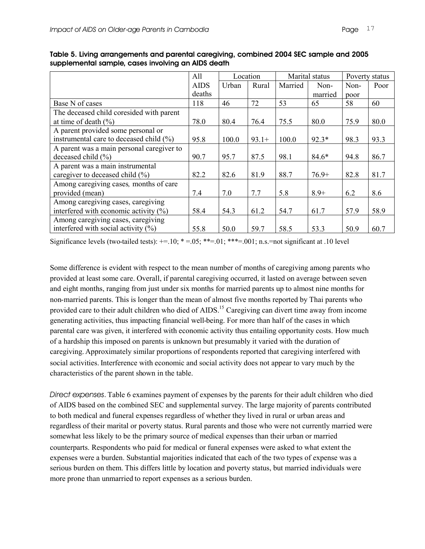|                                           | All         |       | Location | Marital status |         | Poverty status |      |
|-------------------------------------------|-------------|-------|----------|----------------|---------|----------------|------|
|                                           | <b>AIDS</b> | Urban | Rural    | Married        | Non-    | Non-           | Poor |
|                                           | deaths      |       |          |                | married | poor           |      |
| Base N of cases                           | 118         | 46    | 72       | 53             | 65      | 58             | 60   |
| The deceased child coresided with parent  |             |       |          |                |         |                |      |
| at time of death $(\% )$                  | 78.0        | 80.4  | 76.4     | 75.5           | 80.0    | 75.9           | 80.0 |
| A parent provided some personal or        |             |       |          |                |         |                |      |
| instrumental care to deceased child (%)   | 95.8        | 100.0 | $93.1+$  | 100.0          | $92.3*$ | 98.3           | 93.3 |
| A parent was a main personal caregiver to |             |       |          |                |         |                |      |
| deceased child $(\% )$                    | 90.7        | 95.7  | 87.5     | 98.1           | $84.6*$ | 94.8           | 86.7 |
| A parent was a main instrumental          |             |       |          |                |         |                |      |
| caregiver to deceased child (%)           | 82.2        | 82.6  | 81.9     | 88.7           | $76.9+$ | 82.8           | 81.7 |
| Among caregiving cases, months of care    |             |       |          |                |         |                |      |
| provided (mean)                           | 7.4         | 7.0   | 7.7      | 5.8            | $8.9+$  | 6.2            | 8.6  |
| Among caregiving cases, caregiving        |             |       |          |                |         |                |      |
| interfered with economic activity $(\% )$ | 58.4        | 54.3  | 61.2     | 54.7           | 61.7    | 57.9           | 58.9 |
| Among caregiving cases, caregiving        |             |       |          |                |         |                |      |
| interfered with social activity $(\% )$   | 55.8        | 50.0  | 59.7     | 58.5           | 53.3    | 50.9           | 60.7 |

**Table 5. Living arrangements and parental caregiving, combined 2004 SEC sample and 2005 supplemental sample, cases involving an AIDS death**

Significance levels (two-tailed tests):  $+=.10$ ;  $* = .05$ ;  $** = .01$ ;  $*** = .001$ ; n.s. =not significant at .10 level

Some difference is evident with respect to the mean number of months of caregiving among parents who provided at least some care. Overall, if parental caregiving occurred, it lasted on average between seven and eight months, ranging from just under six months for married parents up to almost nine months for non-married parents. This is longer than the mean of almost five months reported by Thai parents who provided care to their adult children who died of AIDS.<sup>15</sup> Caregiving can divert time away from income generating activities, thus impacting financial well-being. For more than half of the cases in which parental care was given, it interfered with economic activity thus entailing opportunity costs. How much of a hardship this imposed on parents is unknown but presumably it varied with the duration of caregiving. Approximately similar proportions of respondents reported that caregiving interfered with social activities. Interference with economic and social activity does not appear to vary much by the characteristics of the parent shown in the table.

*Direct expenses*. Table 6 examines payment of expenses by the parents for their adult children who died of AIDS based on the combined SEC and supplemental survey. The large majority of parents contributed to both medical and funeral expenses regardless of whether they lived in rural or urban areas and regardless of their marital or poverty status. Rural parents and those who were not currently married were somewhat less likely to be the primary source of medical expenses than their urban or married counterparts. Respondents who paid for medical or funeral expenses were asked to what extent the expenses were a burden. Substantial majorities indicated that each of the two types of expense was a serious burden on them. This differs little by location and poverty status, but married individuals were more prone than unmarried to report expenses as a serious burden.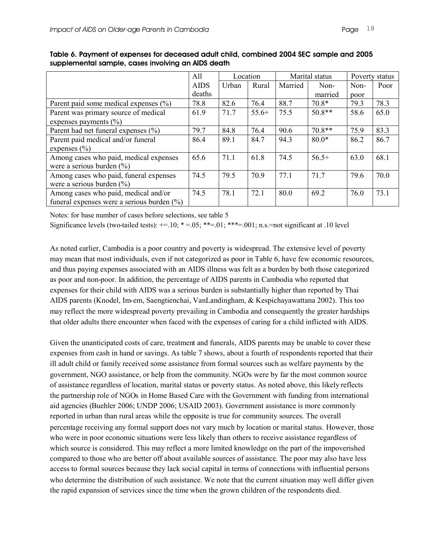|                                                | All         |       | Location |         | Marital status |      | Poverty status |
|------------------------------------------------|-------------|-------|----------|---------|----------------|------|----------------|
|                                                | <b>AIDS</b> | Urban | Rural    | Married | Non-           | Non- | Poor           |
|                                                | deaths      |       |          |         | married        | poor |                |
| Parent paid some medical expenses $(\% )$      | 78.8        | 82.6  | 76.4     | 88.7    | $70.8*$        | 79.3 | 78.3           |
| Parent was primary source of medical           | 61.9        | 71.7  | $55.6+$  | 75.5    | $50.8**$       | 58.6 | 65.0           |
| expenses payments $(\% )$                      |             |       |          |         |                |      |                |
| Parent had net funeral expenses $(\% )$        | 79.7        | 84.8  | 76.4     | 90.6    | $70.8**$       | 75.9 | 83.3           |
| Parent paid medical and/or funeral             | 86.4        | 89.1  | 84.7     | 94.3    | $80.0*$        | 86.2 | 86.7           |
| expenses $(\% )$                               |             |       |          |         |                |      |                |
| Among cases who paid, medical expenses         | 65.6        | 71.1  | 61.8     | 74.5    | $56.5+$        | 63.0 | 68.1           |
| were a serious burden $(\% )$                  |             |       |          |         |                |      |                |
| Among cases who paid, funeral expenses         | 74.5        | 79.5  | 70.9     | 77.1    | 71.7           | 79.6 | 70.0           |
| were a serious burden $(\% )$                  |             |       |          |         |                |      |                |
| Among cases who paid, medical and/or           | 74.5        | 78.1  | 72.1     | 80.0    | 69.2           | 76.0 | 73.1           |
| funeral expenses were a serious burden $(\% )$ |             |       |          |         |                |      |                |

**Table 6. Payment of expenses for deceased adult child, combined 2004 SEC sample and 2005 supplemental sample, cases involving an AIDS death**

Notes: for base number of cases before selections, see table 5

Significance levels (two-tailed tests):  $+=.10$ ;  $* = .05$ ;  $** = .01$ ;  $*** = .001$ ; n.s. =not significant at .10 level

As noted earlier, Cambodia is a poor country and poverty is widespread. The extensive level of poverty may mean that most individuals, even if not categorized as poor in Table 6, have few economic resources, and thus paying expenses associated with an AIDS illness was felt as a burden by both those categorized as poor and non-poor. In addition, the percentage of AIDS parents in Cambodia who reported that expenses for their child with AIDS was a serious burden is substantially higher than reported by Thai AIDS parents (Knodel, Im-em, Saengtienchai, VanLandingham, & Kespichayawattana 2002). This too may reflect the more widespread poverty prevailing in Cambodia and consequently the greater hardships that older adults there encounter when faced with the expenses of caring for a child inflicted with AIDS.

Given the unanticipated costs of care, treatment and funerals, AIDS parents may be unable to cover these expenses from cash in hand or savings. As table 7 shows, about a fourth of respondents reported that their ill adult child or family received some assistance from formal sources such as welfare payments by the government, NGO assistance, or help from the community. NGOs were by far the most common source of assistance regardless of location, marital status or poverty status. As noted above, this likely reflects the partnership role of NGOs in Home Based Care with the Government with funding from international aid agencies (Buehler 2006; UNDP 2006; USAID 2003). Government assistance is more commonly reported in urban than rural areas while the opposite is true for community sources. The overall percentage receiving any formal support does not vary much by location or marital status. However, those who were in poor economic situations were less likely than others to receive assistance regardless of which source is considered. This may reflect a more limited knowledge on the part of the impoverished compared to those who are better off about available sources of assistance. The poor may also have less access to formal sources because they lack social capital in terms of connections with influential persons who determine the distribution of such assistance. We note that the current situation may well differ given the rapid expansion of services since the time when the grown children of the respondents died.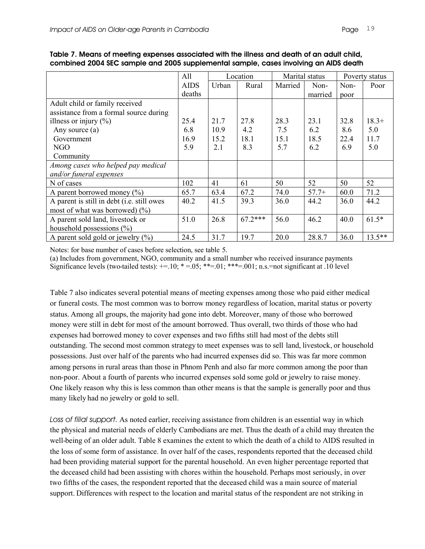|                                            | All         |       | Location  | Marital status |         |      | Poverty status |
|--------------------------------------------|-------------|-------|-----------|----------------|---------|------|----------------|
|                                            | <b>AIDS</b> | Urban | Rural     | Married        | Non-    | Non- | Poor           |
|                                            | deaths      |       |           |                | married | poor |                |
| Adult child or family received             |             |       |           |                |         |      |                |
| assistance from a formal source during     |             |       |           |                |         |      |                |
| illness or injury $(\%)$                   | 25.4        | 21.7  | 27.8      | 28.3           | 23.1    | 32.8 | $18.3+$        |
| Any source (a)                             | 6.8         | 10.9  | 4.2       | 7.5            | 6.2     | 8.6  | 5.0            |
| Government                                 | 16.9        | 15.2  | 18.1      | 15.1           | 18.5    | 22.4 | 11.7           |
| NGO                                        | 5.9         | 2.1   | 8.3       | 5.7            | 6.2     | 6.9  | 5.0            |
| Community                                  |             |       |           |                |         |      |                |
| Among cases who helped pay medical         |             |       |           |                |         |      |                |
| and/or funeral expenses                    |             |       |           |                |         |      |                |
| N of cases                                 | 102         | 41    | 61        | 50             | 52      | 50   | 52             |
| A parent borrowed money $(\% )$            | 65.7        | 63.4  | 67.2      | 74.0           | $57.7+$ | 60.0 | 71.2           |
| A parent is still in debt (i.e. still owes | 40.2        | 41.5  | 39.3      | 36.0           | 44.2    | 36.0 | 44.2           |
| most of what was borrowed) $(\% )$         |             |       |           |                |         |      |                |
| A parent sold land, livestock or           | 51.0        | 26.8  | $67.2***$ | 56.0           | 46.2    | 40.0 | $61.5*$        |
| household possessions $(\% )$              |             |       |           |                |         |      |                |
| A parent sold gold or jewelry $(\% )$      | 24.5        | 31.7  | 19.7      | 20.0           | 28.8.7  | 36.0 | $13.5***$      |

**Table 7. Means of meeting expenses associated with the illness and death of an adult child, combined 2004 SEC sample and 2005 supplemental sample, cases involving an AIDS death**

Notes: for base number of cases before selection, see table 5.

(a) Includes from government, NGO, community and a small number who received insurance payments Significance levels (two-tailed tests):  $+=.10$ ;  $* = .05$ ;  $** = .01$ ;  $*** = .001$ ; n.s. =not significant at .10 level

Table 7 also indicates several potential means of meeting expenses among those who paid either medical or funeral costs. The most common was to borrow money regardless of location, marital status or poverty status. Among all groups, the majority had gone into debt. Moreover, many of those who borrowed money were still in debt for most of the amount borrowed. Thus overall, two thirds of those who had expenses had borrowed money to cover expenses and two fifths still had most of the debts still outstanding. The second most common strategy to meet expenses was to sell land, livestock, or household possessions. Just over half of the parents who had incurred expenses did so. This was far more common among persons in rural areas than those in Phnom Penh and also far more common among the poor than non-poor. About a fourth of parents who incurred expenses sold some gold or jewelry to raise money. One likely reason why this is less common than other means is that the sample is generally poor and thus many likely had no jewelry or gold to sell.

*Loss of filial support*. As noted earlier, receiving assistance from children is an essential way in which the physical and material needs of elderly Cambodians are met. Thus the death of a child may threaten the well-being of an older adult. Table 8 examines the extent to which the death of a child to AIDS resulted in the loss of some form of assistance. In over half of the cases, respondents reported that the deceased child had been providing material support for the parental household. An even higher percentage reported that the deceased child had been assisting with chores within the household. Perhaps most seriously, in over two fifths of the cases, the respondent reported that the deceased child was a main source of material support. Differences with respect to the location and marital status of the respondent are not striking in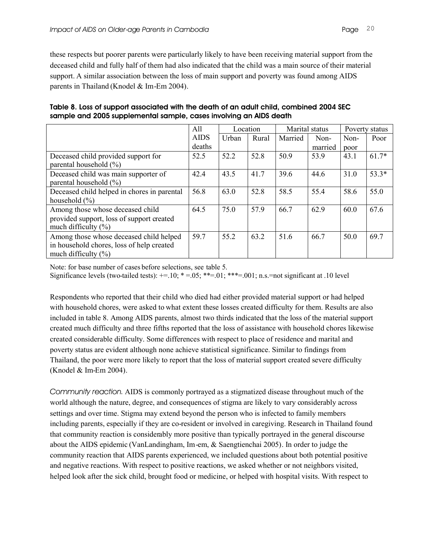these respects but poorer parents were particularly likely to have been receiving material support from the deceased child and fully half of them had also indicated that the child was a main source of their material support. A similar association between the loss of main support and poverty was found among AIDS parents in Thailand (Knodel & Im-Em 2004).

|                                             | All         | Location |       | Marital status |         | Poverty status |         |
|---------------------------------------------|-------------|----------|-------|----------------|---------|----------------|---------|
|                                             | <b>AIDS</b> | Urban    | Rural | Married        | Non-    | Non-           | Poor    |
|                                             | deaths      |          |       |                | married | poor           |         |
| Deceased child provided support for         | 52.5        | 52.2     | 52.8  | 50.9           | 53.9    | 43.1           | $61.7*$ |
| parental household $(\% )$                  |             |          |       |                |         |                |         |
| Deceased child was main supporter of        | 42.4        | 43.5     | 41.7  | 39.6           | 44.6    | 31.0           | $53.3*$ |
| parental household $(\%)$                   |             |          |       |                |         |                |         |
| Deceased child helped in chores in parental | 56.8        | 63.0     | 52.8  | 58.5           | 55.4    | 58.6           | 55.0    |
| household $(\frac{9}{6})$                   |             |          |       |                |         |                |         |
| Among those whose deceased child            | 64.5        | 75.0     | 57.9  | 66.7           | 62.9    | 60.0           | 67.6    |
| provided support, loss of support created   |             |          |       |                |         |                |         |
| much difficulty $(\% )$                     |             |          |       |                |         |                |         |
| Among those whose deceased child helped     | 59.7        | 55.2     | 63.2  | 51.6           | 66.7    | 50.0           | 69.7    |
| in household chores, loss of help created   |             |          |       |                |         |                |         |
| much difficulty $(\% )$                     |             |          |       |                |         |                |         |

**Table 8. Loss of support associated with the death of an adult child, combined 2004 SEC sample and 2005 supplemental sample, cases involving an AIDS death**

Note: for base number of cases before selections, see table 5.

Significance levels (two-tailed tests):  $+=.10$ ;  $* = .05$ ;  $** = .01$ ;  $*** = .001$ ; n.s. =not significant at .10 level

Respondents who reported that their child who died had either provided material support or had helped with household chores, were asked to what extent these losses created difficulty for them. Results are also included in table 8. Among AIDS parents, almost two thirds indicated that the loss of the material support created much difficulty and three fifths reported that the loss of assistance with household chores likewise created considerable difficulty. Some differences with respect to place of residence and marital and poverty status are evident although none achieve statistical significance. Similar to findings from Thailand, the poor were more likely to report that the loss of material support created severe difficulty (Knodel & Im-Em 2004).

*Community reaction*. AIDS is commonly portrayed as a stigmatized disease throughout much of the world although the nature, degree, and consequences of stigma are likely to vary considerably across settings and over time. Stigma may extend beyond the person who is infected to family members including parents, especially if they are co-resident or involved in caregiving. Research in Thailand found that community reaction is considerably more positive than typically portrayed in the general discourse about the AIDS epidemic (VanLandingham, Im-em, & Saengtienchai 2005). In order to judge the community reaction that AIDS parents experienced, we included questions about both potential positive and negative reactions. With respect to positive reactions, we asked whether or not neighbors visited, helped look after the sick child, brought food or medicine, or helped with hospital visits. With respect to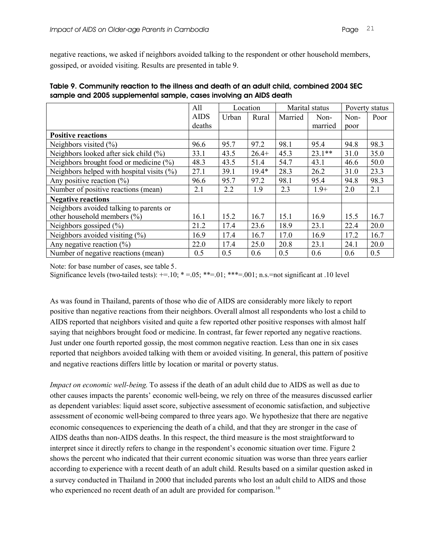negative reactions, we asked if neighbors avoided talking to the respondent or other household members, gossiped, or avoided visiting. Results are presented in table 9.

|                                              | All         | Location |         | Marital status |          | Poverty status |      |
|----------------------------------------------|-------------|----------|---------|----------------|----------|----------------|------|
|                                              | <b>AIDS</b> | Urban    | Rural   | Married        | Non-     | Non-           | Poor |
|                                              | deaths      |          |         |                | married  | poor           |      |
| <b>Positive reactions</b>                    |             |          |         |                |          |                |      |
| Neighbors visited $(\% )$                    | 96.6        | 95.7     | 97.2    | 98.1           | 95.4     | 94.8           | 98.3 |
| Neighbors looked after sick child $(\% )$    | 33.1        | 43.5     | $26.4+$ | 45.3           | $23.1**$ | 31.0           | 35.0 |
| Neighbors brought food or medicine $(\% )$   | 48.3        | 43.5     | 51.4    | 54.7           | 43.1     | 46.6           | 50.0 |
| Neighbors helped with hospital visits $(\%)$ | 27.1        | 39.1     | 19.4*   | 28.3           | 26.2     | 31.0           | 23.3 |
| Any positive reaction $(\% )$                | 96.6        | 95.7     | 97.2    | 98.1           | 95.4     | 94.8           | 98.3 |
| Number of positive reactions (mean)          | 2.1         | 2.2      | 1.9     | 2.3            | $1.9+$   | 2.0            | 2.1  |
| <b>Negative reactions</b>                    |             |          |         |                |          |                |      |
| Neighbors avoided talking to parents or      |             |          |         |                |          |                |      |
| other household members $(\% )$              | 16.1        | 15.2     | 16.7    | 15.1           | 16.9     | 15.5           | 16.7 |
| Neighbors gossiped $(\% )$                   | 21.2        | 17.4     | 23.6    | 18.9           | 23.1     | 22.4           | 20.0 |
| Neighbors avoided visiting $(\% )$           | 16.9        | 17.4     | 16.7    | 17.0           | 16.9     | 17.2           | 16.7 |
| Any negative reaction $(\%)$                 | 22.0        | 17.4     | 25.0    | 20.8           | 23.1     | 24.1           | 20.0 |
| Number of negative reactions (mean)          | 0.5         | 0.5      | 0.6     | 0.5            | 0.6      | 0.6            | 0.5  |

| Table 9. Community reaction to the illness and death of an adult child, combined 2004 SEC |  |
|-------------------------------------------------------------------------------------------|--|
| sample and 2005 supplemental sample, cases involving an AIDS death                        |  |

Note: for base number of cases, see table 5.

Significance levels (two-tailed tests):  $+=.10$ ;  $*=0.5$ ;  $**=0.01$ ;  $***=0.01$ ; n.s. =not significant at .10 level

As was found in Thailand, parents of those who die of AIDS are considerably more likely to report positive than negative reactions from their neighbors. Overall almost all respondents who lost a child to AIDS reported that neighbors visited and quite a few reported other positive responses with almost half saying that neighbors brought food or medicine. In contrast, far fewer reported any negative reactions. Just under one fourth reported gossip, the most common negative reaction. Less than one in six cases reported that neighbors avoided talking with them or avoided visiting. In general, this pattern of positive and negative reactions differs little by location or marital or poverty status.

*Impact on economic well-being*. To assess if the death of an adult child due to AIDS as well as due to other causes impacts the parents' economic well-being, we rely on three of the measures discussed earlier as dependent variables: liquid asset score, subjective assessment of economic satisfaction, and subjective assessment of economic well-being compared to three years ago. We hypothesize that there are negative economic consequences to experiencing the death of a child, and that they are stronger in the case of AIDS deaths than non-AIDS deaths. In this respect, the third measure is the most straightforward to interpret since it directly refers to change in the respondent's economic situation over time. Figure 2 shows the percent who indicated that their current economic situation was worse than three years earlier according to experience with a recent death of an adult child. Results based on a similar question asked in a survey conducted in Thailand in 2000 that included parents who lost an adult child to AIDS and those who experienced no recent death of an adult are provided for comparison.<sup>16</sup>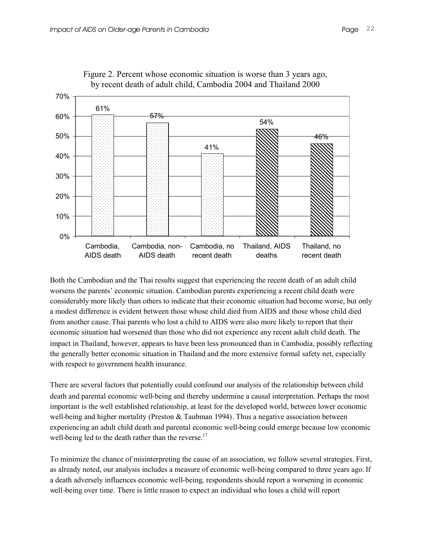

Figure 2. Percent whose economic situation is worse than 3 years ago, by recent death of adult child, Cambodia 2004 and Thailand 2000

Both the Cambodian and the Thai results suggest that experiencing the recent death of an adult child worsens the parents' economic situation. Cambodian parents experiencing a recent child death were considerably more likely than others to indicate that their economic situation had become worse, but only a modest difference is evident between those whose child died from AIDS and those whose child died from another cause. Thai parents who lost a child to AIDS were also more likely to report that their economic situation had worsened than those who did not experience any recent adult child death. The impact in Thailand, however, appears to have been less pronounced than in Cambodia, possibly reflecting the generally better economic situation in Thailand and the more extensive formal safety net, especially with respect to government health insurance.

There are several factors that potentially could confound our analysis of the relationship between child death and parental economic well-being and thereby undermine a causal interpretation. Perhaps the most important is the well established relationship, at least for the developed world, between lower economic well-being and higher mortality (Preston  $&$  Taubman 1994). Thus a negative association between experiencing an adult child death and parental economic well-being could emerge because low economic well-being led to the death rather than the reverse.<sup>17</sup>

To minimize the chance of misinterpreting the cause of an association, we follow several strategies. First, as already noted, our analysis includes a measure of economic well-being compared to three years ago. If a death adversely influences economic well-being, respondents should report a worsening in economic well-being over time. There is little reason to expect an individual who loses a child will report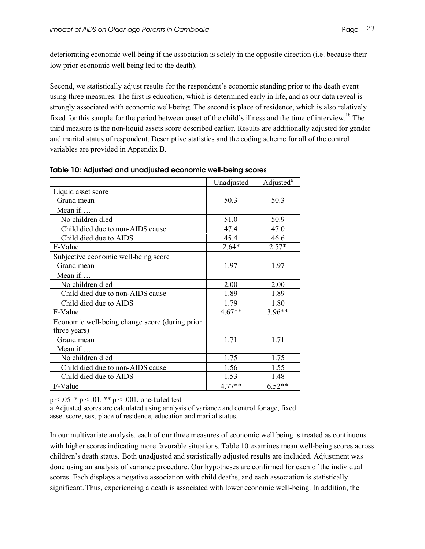deteriorating economic well-being if the association is solely in the opposite direction (i.e. because their low prior economic well being led to the death).

Second, we statistically adjust results for the respondent's economic standing prior to the death event using three measures. The first is education, which is determined early in life, and as our data reveal is strongly associated with economic well-being. The second is place of residence, which is also relatively fixed for this sample for the period between onset of the child's illness and the time of interview.<sup>18</sup> The third measure is the non-liquid assets score described earlier. Results are additionally adjusted for gender and marital status of respondent. Descriptive statistics and the coding scheme for all of the control variables are provided in Appendix B.

|                                                | Unadjusted | Adjusted <sup>a</sup> |
|------------------------------------------------|------------|-----------------------|
| Liquid asset score                             |            |                       |
| Grand mean                                     | 50.3       | 50.3                  |
| Mean if                                        |            |                       |
| No children died                               | 51.0       | 50.9                  |
| Child died due to non-AIDS cause               | 47.4       | 47.0                  |
| Child died due to AIDS                         | 45.4       | 46.6                  |
| F-Value                                        | $2.64*$    | $2.57*$               |
| Subjective economic well-being score           |            |                       |
| Grand mean                                     | 1.97       | 1.97                  |
| Mean if                                        |            |                       |
| No children died                               | 2.00       | 2.00                  |
| Child died due to non-AIDS cause               | 1.89       | 1.89                  |
| Child died due to AIDS                         | 1.79       | 1.80                  |
| F-Value                                        | $4.67**$   | $3.96**$              |
| Economic well-being change score (during prior |            |                       |
| three years)                                   |            |                       |
| Grand mean                                     | 1.71       | 1.71                  |
| Mean if                                        |            |                       |
| No children died                               | 1.75       | 1.75                  |
| Child died due to non-AIDS cause               | 1.56       | 1.55                  |
| Child died due to AIDS                         | 1.53       | 1.48                  |
| F-Value                                        | $4.77**$   | $6.52**$              |

| Table 10: Adjusted and unadjusted economic well-being scores |  |  |  |  |  |  |
|--------------------------------------------------------------|--|--|--|--|--|--|
|--------------------------------------------------------------|--|--|--|--|--|--|

 $p < .05 * p < .01$ , \*\*  $p < .001$ , one-tailed test

a Adjusted scores are calculated using analysis of variance and control for age, fixed asset score, sex, place of residence, education and marital status.

In our multivariate analysis, each of our three measures of economic well being is treated as continuous with higher scores indicating more favorable situations. Table 10 examines mean well-being scores across children's death status. Both unadjusted and statistically adjusted results are included. Adjustment was done using an analysis of variance procedure. Our hypotheses are confirmed for each of the individual scores. Each displays a negative association with child deaths, and each association is statistically significant. Thus, experiencing a death is associated with lower economic well-being. In addition, the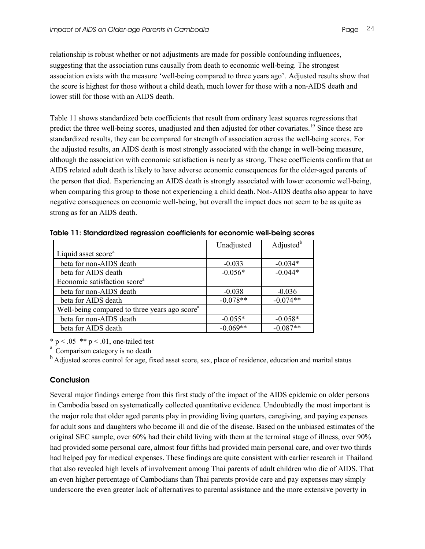relationship is robust whether or not adjustments are made for possible confounding influences, suggesting that the association runs causally from death to economic well-being. The strongest association exists with the measure 'well-being compared to three years ago'. Adjusted results show that the score is highest for those without a child death, much lower for those with a non-AIDS death and lower still for those with an AIDS death.

Table 11 shows standardized beta coefficients that result from ordinary least squares regressions that predict the three well-being scores, unadjusted and then adjusted for other covariates.<sup>19</sup> Since these are standardized results, they can be compared for strength of association across the well-being scores. For the adjusted results, an AIDS death is most strongly associated with the change in well-being measure, although the association with economic satisfaction is nearly as strong. These coefficients confirm that an AIDS related adult death is likely to have adverse economic consequences for the older-aged parents of the person that died. Experiencing an AIDS death is strongly associated with lower economic well-being, when comparing this group to those not experiencing a child death. Non-AIDS deaths also appear to have negative consequences on economic well-being, but overall the impact does not seem to be as quite as strong as for an AIDS death.

|                                                           | Unadjusted | Adjusted <sup>b</sup> |
|-----------------------------------------------------------|------------|-----------------------|
| Liquid asset score <sup>a</sup>                           |            |                       |
| beta for non-AIDS death                                   | $-0.033$   | $-0.034*$             |
| beta for AIDS death                                       | $-0.056*$  | $-0.044*$             |
| Economic satisfaction score <sup>a</sup>                  |            |                       |
| beta for non-AIDS death                                   | $-0.038$   | $-0.036$              |
| beta for AIDS death                                       | $-0.078**$ | $-0.074**$            |
| Well-being compared to three years ago score <sup>a</sup> |            |                       |
| beta for non-AIDS death                                   | $-0.055*$  | $-0.058*$             |
| beta for AIDS death                                       | $-0.069**$ | $-0.087**$            |

**Table 11: Standardized regression coefficients for economic well-being scores**

 $* p < .05 ** p < .01$ , one-tailed test

<sup>a</sup> Comparison category is no death

<sup>b</sup> Adjusted scores control for age, fixed asset score, sex, place of residence, education and marital status

#### **Conclusion**

Several major findings emerge from this first study of the impact of the AIDS epidemic on older persons in Cambodia based on systematically collected quantitative evidence. Undoubtedly the most important is the major role that older aged parents play in providing living quarters, caregiving, and paying expenses for adult sons and daughters who become ill and die of the disease. Based on the unbiased estimates of the original SEC sample, over 60% had their child living with them at the terminal stage of illness, over 90% had provided some personal care, almost four fifths had provided main personal care, and over two thirds had helped pay for medical expenses. These findings are quite consistent with earlier research in Thailand that also revealed high levels of involvement among Thai parents of adult children who die of AIDS. That an even higher percentage of Cambodians than Thai parents provide care and pay expenses may simply underscore the even greater lack of alternatives to parental assistance and the more extensive poverty in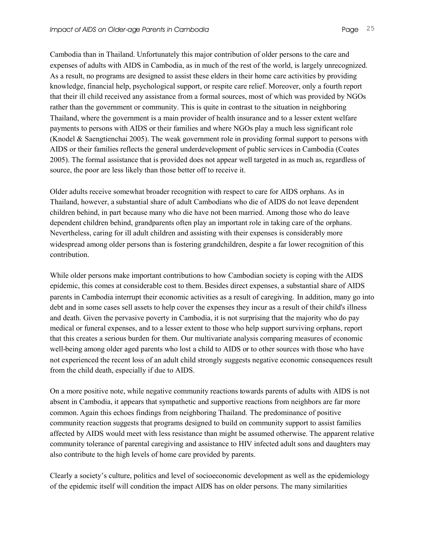Cambodia than in Thailand. Unfortunately this major contribution of older persons to the care and expenses of adults with AIDS in Cambodia, as in much of the rest of the world, is largely unrecognized. As a result, no programs are designed to assist these elders in their home care activities by providing knowledge, financial help, psychological support, or respite care relief. Moreover, only a fourth report that their ill child received any assistance from a formal sources, most of which was provided by NGOs rather than the government or community. This is quite in contrast to the situation in neighboring Thailand, where the government is a main provider of health insurance and to a lesser extent welfare payments to persons with AIDS or their families and where NGOs play a much less significant role (Knodel & Saengtienchai 2005). The weak government role in providing formal support to persons with AIDS or their families reflects the general underdevelopment of public services in Cambodia (Coates 2005). The formal assistance that is provided does not appear well targeted in as much as, regardless of source, the poor are less likely than those better off to receive it.

Older adults receive somewhat broader recognition with respect to care for AIDS orphans. As in Thailand, however, a substantial share of adult Cambodians who die of AIDS do not leave dependent children behind, in part because many who die have not been married. Among those who do leave dependent children behind, grandparents often play an important role in taking care of the orphans. Nevertheless, caring for ill adult children and assisting with their expenses is considerably more widespread among older persons than is fostering grandchildren, despite a far lower recognition of this contribution.

While older persons make important contributions to how Cambodian society is coping with the AIDS epidemic, this comes at considerable cost to them. Besides direct expenses, a substantial share of AIDS parents in Cambodia interrupt their economic activities as a result of caregiving. In addition, many go into debt and in some cases sell assets to help cover the expenses they incur as a result of their child's illness and death. Given the pervasive poverty in Cambodia, it is not surprising that the majority who do pay medical or funeral expenses, and to a lesser extent to those who help support surviving orphans, report that this creates a serious burden for them. Our multivariate analysis comparing measures of economic well-being among older aged parents who lost a child to AIDS or to other sources with those who have not experienced the recent loss of an adult child strongly suggests negative economic consequences result from the child death, especially if due to AIDS.

On a more positive note, while negative community reactions towards parents of adults with AIDS is not absent in Cambodia, it appears that sympathetic and supportive reactions from neighbors are far more common. Again this echoes findings from neighboring Thailand. The predominance of positive community reaction suggests that programs designed to build on community support to assist families affected by AIDS would meet with less resistance than might be assumed otherwise. The apparent relative community tolerance of parental caregiving and assistance to HIV infected adult sons and daughters may also contribute to the high levels of home care provided by parents.

Clearly a society's culture, politics and level of socioeconomic development as well as the epidemiology of the epidemic itself will condition the impact AIDS has on older persons. The many similarities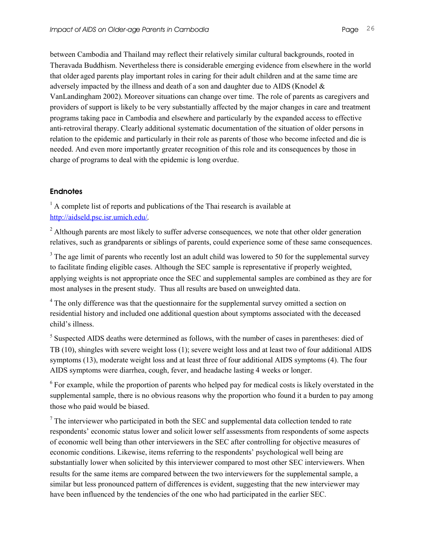between Cambodia and Thailand may reflect their relatively similar cultural backgrounds, rooted in Theravada Buddhism. Nevertheless there is considerable emerging evidence from elsewhere in the world that older aged parents play important roles in caring for their adult children and at the same time are adversely impacted by the illness and death of a son and daughter due to AIDS (Knodel  $\&$ VanLandingham 2002). Moreover situations can change over time. The role of parents as caregivers and providers of support is likely to be very substantially affected by the major changes in care and treatment programs taking pace in Cambodia and elsewhere and particularly by the expanded access to effective anti-retroviral therapy. Clearly additional systematic documentation of the situation of older persons in relation to the epidemic and particularly in their role as parents of those who become infected and die is needed. And even more importantly greater recognition of this role and its consequences by those in charge of programs to deal with the epidemic is long overdue.

## **Endnotes**

 $<sup>1</sup>$  A complete list of reports and publications of the Thai research is available at</sup> http://aidseld.psc.isr.umich.edu/.

<sup>2</sup> Although parents are most likely to suffer adverse consequences, we note that other older generation relatives, such as grandparents or siblings of parents, could experience some of these same consequences.

<sup>3</sup> The age limit of parents who recently lost an adult child was lowered to 50 for the supplemental survey to facilitate finding eligible cases. Although the SEC sample is representative if properly weighted, applying weights is not appropriate once the SEC and supplemental samples are combined as they are for most analyses in the present study. Thus all results are based on unweighted data.

<sup>4</sup> The only difference was that the questionnaire for the supplemental survey omitted a section on residential history and included one additional question about symptoms associated with the deceased child's illness.

<sup>5</sup> Suspected AIDS deaths were determined as follows, with the number of cases in parentheses: died of TB (10), shingles with severe weight loss (1); severe weight loss and at least two of four additional AIDS symptoms (13), moderate weight loss and at least three of four additional AIDS symptoms (4). The four AIDS symptoms were diarrhea, cough, fever, and headache lasting 4 weeks or longer.

<sup>6</sup> For example, while the proportion of parents who helped pay for medical costs is likely overstated in the supplemental sample, there is no obvious reasons why the proportion who found it a burden to pay among those who paid would be biased.

 $<sup>7</sup>$  The interviewer who participated in both the SEC and supplemental data collection tended to rate</sup> respondents' economic status lower and solicit lower self assessments from respondents of some aspects of economic well being than other interviewers in the SEC after controlling for objective measures of economic conditions. Likewise, items referring to the respondents' psychological well being are substantially lower when solicited by this interviewer compared to most other SEC interviewers. When results for the same items are compared between the two interviewers for the supplemental sample, a similar but less pronounced pattern of differences is evident, suggesting that the new interviewer may have been influenced by the tendencies of the one who had participated in the earlier SEC.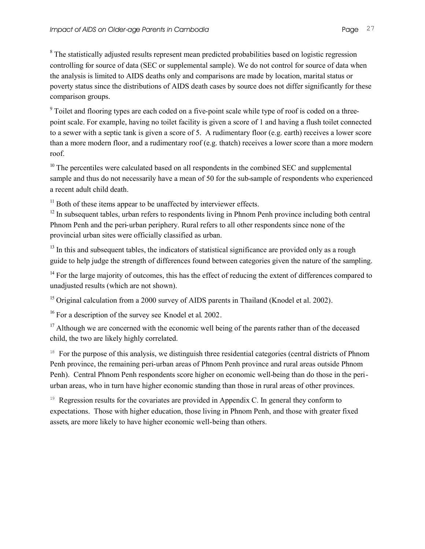<sup>8</sup> The statistically adjusted results represent mean predicted probabilities based on logistic regression controlling for source of data (SEC or supplemental sample). We do not control for source of data when the analysis is limited to AIDS deaths only and comparisons are made by location, marital status or poverty status since the distributions of AIDS death cases by source does not differ significantly for these comparison groups.

<sup>9</sup> Toilet and flooring types are each coded on a five-point scale while type of roof is coded on a threepoint scale. For example, having no toilet facility is given a score of 1 and having a flush toilet connected to a sewer with a septic tank is given a score of 5. A rudimentary floor (e.g. earth) receives a lower score than a more modern floor, and a rudimentary roof (e.g. thatch) receives a lower score than a more modern roof.

 $10$  The percentiles were calculated based on all respondents in the combined SEC and supplemental sample and thus do not necessarily have a mean of 50 for the sub-sample of respondents who experienced a recent adult child death.

 $11$  Both of these items appear to be unaffected by interviewer effects.

 $12$  In subsequent tables, urban refers to respondents living in Phnom Penh province including both central Phnom Penh and the peri-urban periphery. Rural refers to all other respondents since none of the provincial urban sites were officially classified as urban.

<sup>13</sup> In this and subsequent tables, the indicators of statistical significance are provided only as a rough guide to help judge the strength of differences found between categories given the nature of the sampling.

<sup>14</sup> For the large majority of outcomes, this has the effect of reducing the extent of differences compared to unadjusted results (which are not shown).

<sup>15</sup> Original calculation from a 2000 survey of AIDS parents in Thailand (Knodel et al. 2002).

<sup>16</sup> For a description of the survey see Knodel et al. 2002.

<sup>17</sup> Although we are concerned with the economic well being of the parents rather than of the deceased child, the two are likely highly correlated.

<sup>18</sup> For the purpose of this analysis, we distinguish three residential categories (central districts of Phnom Penh province, the remaining peri-urban areas of Phnom Penh province and rural areas outside Phnom Penh). Central Phnom Penh respondents score higher on economic well-being than do those in the periurban areas, who in turn have higher economic standing than those in rural areas of other provinces.

<sup>19</sup> Regression results for the covariates are provided in Appendix C. In general they conform to expectations. Those with higher education, those living in Phnom Penh, and those with greater fixed assets, are more likely to have higher economic well-being than others.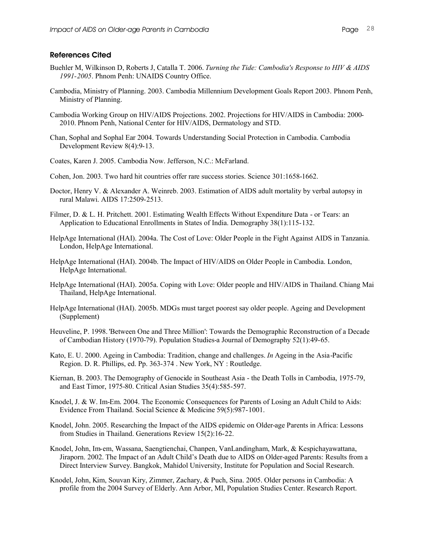- Buehler M, Wilkinson D, Roberts J, Catalla T. 2006. *Turning the Tide: Cambodia's Response to HIV & AIDS 1991-2005*. Phnom Penh: UNAIDS Country Office.
- Cambodia, Ministry of Planning. 2003. Cambodia Millennium Development Goals Report 2003. Phnom Penh, Ministry of Planning.
- Cambodia Working Group on HIV/AIDS Projections. 2002. Projections for HIV/AIDS in Cambodia: 2000- 2010. Phnom Penh, National Center for HIV/AIDS, Dermatology and STD.
- Chan, Sophal and Sophal Ear 2004. Towards Understanding Social Protection in Cambodia. Cambodia Development Review 8(4):9-13.
- Coates, Karen J. 2005. Cambodia Now. Jefferson, N.C.: McFarland.
- Cohen, Jon. 2003. Two hard hit countries offer rare success stories. Science 301:1658-1662.
- Doctor, Henry V. & Alexander A. Weinreb. 2003. Estimation of AIDS adult mortality by verbal autopsy in rural Malawi. AIDS 17:2509-2513.
- Filmer, D. & L. H. Pritchett. 2001. Estimating Wealth Effects Without Expenditure Data or Tears: an Application to Educational Enrollments in States of India. Demography 38(1):115-132.
- HelpAge International (HAI). 2004a. The Cost of Love: Older People in the Fight Against AIDS in Tanzania. London, HelpAge International.
- HelpAge International (HAI). 2004b. The Impact of HIV/AIDS on Older People in Cambodia. London, HelpAge International.
- HelpAge International (HAI). 2005a. Coping with Love: Older people and HIV/AIDS in Thailand. Chiang Mai Thailand, HelpAge International.
- HelpAge International (HAI). 2005b. MDGs must target poorest say older people. Ageing and Development (Supplement)
- Heuveline, P. 1998. 'Between One and Three Million': Towards the Demographic Reconstruction of a Decade of Cambodian History (1970-79). Population Studies-a Journal of Demography 52(1):49-65.
- Kato, E. U. 2000. Ageing in Cambodia: Tradition, change and challenges. *In* Ageing in the Asia-Pacific Region. D. R. Phillips, ed. Pp. 363-374 . New York, NY : Routledge.
- Kiernan, B. 2003. The Demography of Genocide in Southeast Asia the Death Tolls in Cambodia, 1975-79, and East Timor, 1975-80. Critical Asian Studies 35(4):585-597.
- Knodel, J. & W. Im-Em. 2004. The Economic Consequences for Parents of Losing an Adult Child to Aids: Evidence From Thailand. Social Science & Medicine 59(5):987-1001.
- Knodel, John. 2005. Researching the Impact of the AIDS epidemic on Older-age Parents in Africa: Lessons from Studies in Thailand. Generations Review 15(2):16-22.
- Knodel, John, Im-em, Wassana, Saengtienchai, Chanpen, VanLandingham, Mark, & Kespichayawattana, Jiraporn. 2002. The Impact of an Adult Child's Death due to AIDS on Older-aged Parents: Results from a Direct Interview Survey. Bangkok, Mahidol University, Institute for Population and Social Research.
- Knodel, John, Kim, Souvan Kiry, Zimmer, Zachary, & Puch, Sina. 2005. Older persons in Cambodia: A profile from the 2004 Survey of Elderly. Ann Arbor, MI, Population Studies Center. Research Report.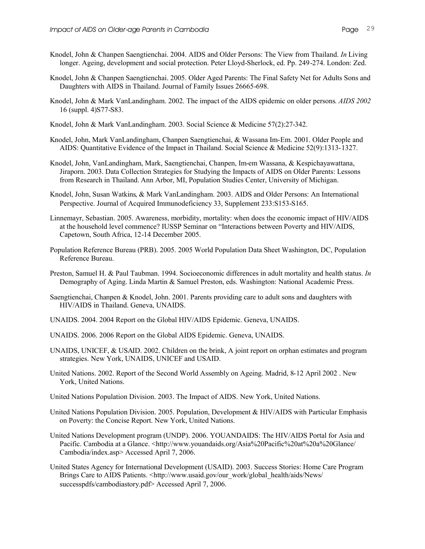- Knodel, John & Chanpen Saengtienchai. 2004. AIDS and Older Persons: The View from Thailand. *In* Living longer. Ageing, development and social protection. Peter Lloyd-Sherlock, ed. Pp. 249-274. London: Zed.
- Knodel, John & Chanpen Saengtienchai. 2005. Older Aged Parents: The Final Safety Net for Adults Sons and Daughters with AIDS in Thailand. Journal of Family Issues 26665-698.
- Knodel, John & Mark VanLandingham. 2002. The impact of the AIDS epidemic on older persons*. AIDS 2002* 16 (suppl. 4)S77-S83.
- Knodel, John & Mark VanLandingham. 2003. Social Science & Medicine 57(2):27-342.
- Knodel, John, Mark VanLandingham, Chanpen Saengtienchai, & Wassana Im-Em. 2001. Older People and AIDS: Quantitative Evidence of the Impact in Thailand. Social Science & Medicine 52(9):1313-1327.
- Knodel, John, VanLandingham, Mark, Saengtienchai, Chanpen, Im-em Wassana, & Kespichayawattana, Jiraporn. 2003. Data Collection Strategies for Studying the Impacts of AIDS on Older Parents: Lessons from Research in Thailand. Ann Arbor, MI, Population Studies Center, University of Michigan.
- Knodel, John, Susan Watkins, & Mark VanLandingham. 2003. AIDS and Older Persons: An International Perspective. Journal of Acquired Immunodeficiency 33, Supplement 233:S153-S165.
- Linnemayr, Sebastian. 2005. Awareness, morbidity, mortality: when does the economic impact of HIV/AIDS at the household level commence? IUSSP Seminar on "Interactions between Poverty and HIV/AIDS, Capetown, South Africa, 12-14 December 2005.
- Population Reference Bureau (PRB). 2005. 2005 World Population Data Sheet Washington, DC, Population Reference Bureau.
- Preston, Samuel H. & Paul Taubman. 1994. Socioeconomic differences in adult mortality and health status. *In* Demography of Aging. Linda Martin & Samuel Preston, eds. Washington: National Academic Press.
- Saengtienchai, Chanpen & Knodel, John. 2001. Parents providing care to adult sons and daughters with HIV/AIDS in Thailand. Geneva, UNAIDS.
- UNAIDS. 2004. 2004 Report on the Global HIV/AIDS Epidemic. Geneva, UNAIDS.
- UNAIDS. 2006. 2006 Report on the Global AIDS Epidemic. Geneva, UNAIDS.
- UNAIDS, UNICEF, & USAID. 2002. Children on the brink, A joint report on orphan estimates and program strategies. New York, UNAIDS, UNICEF and USAID.
- United Nations. 2002. Report of the Second World Assembly on Ageing. Madrid, 8-12 April 2002 . New York, United Nations.
- United Nations Population Division. 2003. The Impact of AIDS. New York, United Nations.
- United Nations Population Division. 2005. Population, Development & HIV/AIDS with Particular Emphasis on Poverty: the Concise Report. New York, United Nations.
- United Nations Development program (UNDP). 2006. YOUANDAIDS: The HIV/AIDS Portal for Asia and Pacific. Cambodia at a Glance. <http://www.youandaids.org/Asia%20Pacific%20at%20a%20Glance/ Cambodia/index.asp> Accessed April 7, 2006.
- United States Agency for International Development (USAID). 2003. Success Stories: Home Care Program Brings Care to AIDS Patients. <http://www.usaid.gov/our\_work/global\_health/aids/News/ successpdfs/cambodiastory.pdf> Accessed April 7, 2006.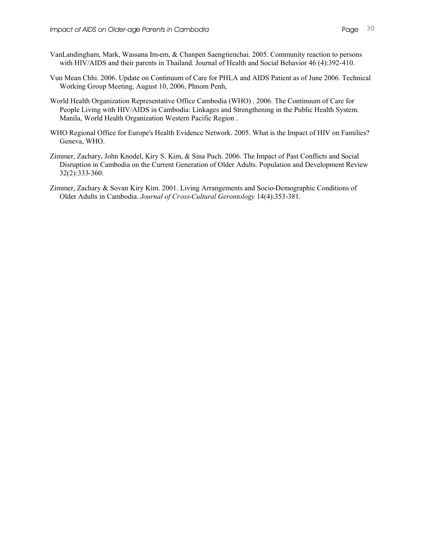- VanLandingham, Mark, Wassana Im-em, & Chanpen Saengtienchai. 2005. Community reaction to persons with HIV/AIDS and their parents in Thailand. Journal of Health and Social Behavior 46 (4):392-410.
- Vun Mean Chhi. 2006. Update on Continuum of Care for PHLA and AIDS Patient as of June 2006. Technical Working Group Meeting, August 10, 2006, Phnom Penh,
- World Health Organization Representative Office Cambodia (WHO) . 2006. The Continuum of Care for People Living with HIV/AIDS in Cambodia: Linkages and Strengthening in the Public Health System. Manila, World Health Organization Western Pacific Region .
- WHO Regional Office for Europe's Health Evidence Network. 2005. What is the Impact of HIV on Families? Geneva, WHO.
- Zimmer, Zachary, John Knodel, Kiry S. Kim, & Sina Puch. 2006. The Impact of Past Conflicts and Social Disruption in Cambodia on the Current Generation of Older Adults. Population and Development Review 32(2):333-360.
- Zimmer, Zachary & Sovan Kiry Kim. 2001. Living Arrangements and Socio-Demographic Conditions of Older Adults in Cambodia. *Journal of Cross-Cultural Gerontology* 14(4):353-381.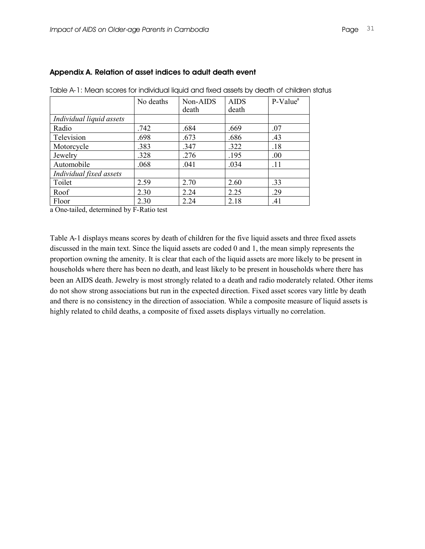|                          | No deaths | Non-AIDS | <b>AIDS</b> | $P-Value^a$ |
|--------------------------|-----------|----------|-------------|-------------|
|                          |           | death    | death       |             |
| Individual liquid assets |           |          |             |             |
| Radio                    | .742      | .684     | .669        | .07         |
| Television               | .698      | .673     | .686        | .43         |
| Motorcycle               | .383      | .347     | .322        | .18         |
| Jewelry                  | .328      | .276     | .195        | .00         |
| Automobile               | .068      | .041     | .034        | .11         |
| Individual fixed assets  |           |          |             |             |
| Toilet                   | 2.59      | 2.70     | 2.60        | .33         |
| Roof                     | 2.30      | 2.24     | 2.25        | .29         |
| Floor                    | 2.30      | 2.24     | 2.18        | .41         |

#### **Appendix A. Relation of asset indices to adult death event**

Table A-1: Mean scores for individual liquid and fixed assets by death of children status

a One-tailed, determined by F-Ratio test

Table A-1 displays means scores by death of children for the five liquid assets and three fixed assets discussed in the main text. Since the liquid assets are coded 0 and 1, the mean simply represents the proportion owning the amenity. It is clear that each of the liquid assets are more likely to be present in households where there has been no death, and least likely to be present in households where there has been an AIDS death. Jewelry is most strongly related to a death and radio moderately related. Other items do not show strong associations but run in the expected direction. Fixed asset scores vary little by death and there is no consistency in the direction of association. While a composite measure of liquid assets is highly related to child deaths, a composite of fixed assets displays virtually no correlation.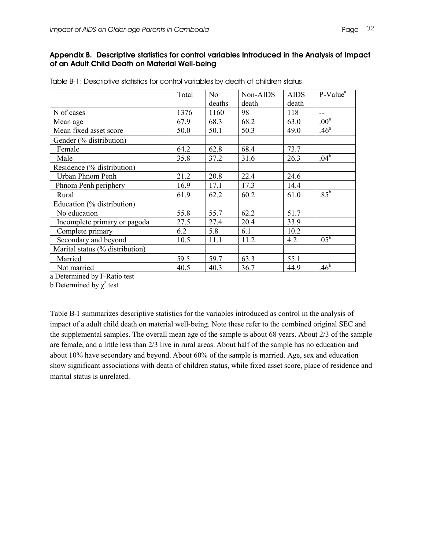#### **Appendix B. Descriptive statistics for control variables Introduced in the Analysis of Impact of an Adult Child Death on Material Well-being**

|                                 | Total | No     | Non-AIDS | <b>AIDS</b> | $P-Valuea$       |
|---------------------------------|-------|--------|----------|-------------|------------------|
|                                 |       | deaths | death    | death       |                  |
| N of cases                      | 1376  | 1160   | 98       | 118         | --               |
| Mean age                        | 67.9  | 68.3   | 68.2     | 63.0        | .00 <sup>a</sup> |
| Mean fixed asset score          | 50.0  | 50.1   | 50.3     | 49.0        | .46 <sup>a</sup> |
| Gender (% distribution)         |       |        |          |             |                  |
| Female                          | 64.2  | 62.8   | 68.4     | 73.7        |                  |
| Male                            | 35.8  | 37.2   | 31.6     | 26.3        | .04 <sup>b</sup> |
| Residence (% distribution)      |       |        |          |             |                  |
| Urban Phnom Penh                | 21.2  | 20.8   | 22.4     | 24.6        |                  |
| Phnom Penh periphery            | 16.9  | 17.1   | 17.3     | 14.4        |                  |
| Rural                           | 61.9  | 62.2   | 60.2     | 61.0        | $.85^{\rm b}$    |
| Education (% distribution)      |       |        |          |             |                  |
| No education                    | 55.8  | 55.7   | 62.2     | 51.7        |                  |
| Incomplete primary or pagoda    | 27.5  | 27.4   | 20.4     | 33.9        |                  |
| Complete primary                | 6.2   | 5.8    | 6.1      | 10.2        |                  |
| Secondary and beyond            | 10.5  | 11.1   | 11.2     | 4.2         | .05 <sup>b</sup> |
| Marital status (% distribution) |       |        |          |             |                  |
| Married                         | 59.5  | 59.7   | 63.3     | 55.1        |                  |
| Not married                     | 40.5  | 40.3   | 36.7     | 44.9        | .46 <sup>b</sup> |

| Table B-1: Descriptive statistics for control variables by death of children status |
|-------------------------------------------------------------------------------------|
|-------------------------------------------------------------------------------------|

a Determined by F-Ratio test

b Determined by  $\chi^2$  test

Table B-1 summarizes descriptive statistics for the variables introduced as control in the analysis of impact of a adult child death on material well-being. Note these refer to the combined original SEC and the supplemental samples. The overall mean age of the sample is about 68 years. About 2/3 of the sample are female, and a little less than 2/3 live in rural areas. About half of the sample has no education and about 10% have secondary and beyond. About 60% of the sample is married. Age, sex and education show significant associations with death of children status, while fixed asset score, place of residence and marital status is unrelated.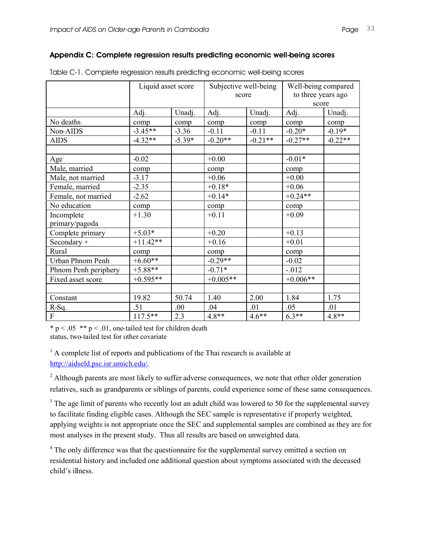#### **Appendix C: Complete regression results predicting economic well-being scores**

|                              | Liquid asset score |          | Subjective well-being<br>score |           | Well-being compared<br>to three years ago<br>score |           |
|------------------------------|--------------------|----------|--------------------------------|-----------|----------------------------------------------------|-----------|
|                              | Adj.               | Unadj.   | Adj.                           | Unadj.    | Adj.                                               | Unadj.    |
| No deaths                    | comp               | comp     | comp                           | comp      | comp                                               | comp      |
| Non-AIDS                     | $-3.45**$          | $-3.36$  | $-0.11$                        | $-0.11$   | $-0.20*$                                           | $-0.19*$  |
| <b>AIDS</b>                  | $-4.32**$          | $-5.39*$ | $-0.20**$                      | $-0.21**$ | $-0.27**$                                          | $-0.22**$ |
|                              |                    |          |                                |           |                                                    |           |
| Age                          | $-0.02$            |          | $+0.00$                        |           | $-0.01*$                                           |           |
| Male, married                | comp               |          | comp                           |           | comp                                               |           |
| Male, not married            | $-3.17$            |          | $+0.06$                        |           | $+0.00$                                            |           |
| Female, married              | $-2.35$            |          | $+0.18*$                       |           | $+0.06$                                            |           |
| Female, not married          | $-2.62$            |          | $+0.14*$                       |           | $+0.24**$                                          |           |
| No education                 | comp               |          | comp                           |           | comp                                               |           |
| Incomplete<br>primary/pagoda | $+1.30$            |          | $+0.11$                        |           | $+0.09$                                            |           |
| Complete primary             | $+5.03*$           |          | $+0.20$                        |           | $+0.13$                                            |           |
| Secondary $+$                | $+11.42**$         |          | $+0.16$                        |           | $+0.01$                                            |           |
| Rural                        | comp               |          | comp                           |           | comp                                               |           |
| Urban Phnom Penh             | $+6.60**$          |          | $-0.29**$                      |           | $-0.02$                                            |           |
| Phnom Penh periphery         | $+5.88**$          |          | $-0.71*$                       |           | $-0.012$                                           |           |
| Fixed asset score            | $+0.595**$         |          | $+0.005**$                     |           | $+0.006**$                                         |           |
|                              |                    |          |                                |           |                                                    |           |
| Constant                     | 19.82              | 50.74    | 1.40                           | 2.00      | 1.84                                               | 1.75      |
| $R-Sq.$                      | .51                | .00      | .04                            | .01       | .05                                                | .01       |
| $\overline{F}$               | $117.5**$          | 2.3      | $4.8**$                        | $4.6**$   | $6.3**$                                            | $4.8**$   |

| Table C-1. Complete regression results predicting economic well-being scores |  |  |  |
|------------------------------------------------------------------------------|--|--|--|
|                                                                              |  |  |  |

\*  $p < .05$  \*\*  $p < .01$ , one-tailed test for children death status, two-tailed test for other covariate

 $<sup>1</sup>$  A complete list of reports and publications of the Thai research is available at</sup> http://aidseld.psc.isr.umich.edu/.

<sup>2</sup> Although parents are most likely to suffer adverse consequences, we note that other older generation relatives, such as grandparents or siblings of parents, could experience some of these same consequences.

 $3$  The age limit of parents who recently lost an adult child was lowered to 50 for the supplemental survey to facilitate finding eligible cases. Although the SEC sample is representative if properly weighted, applying weights is not appropriate once the SEC and supplemental samples are combined as they are for most analyses in the present study. Thus all results are based on unweighted data.

<sup>4</sup> The only difference was that the questionnaire for the supplemental survey omitted a section on residential history and included one additional question about symptoms associated with the deceased child's illness.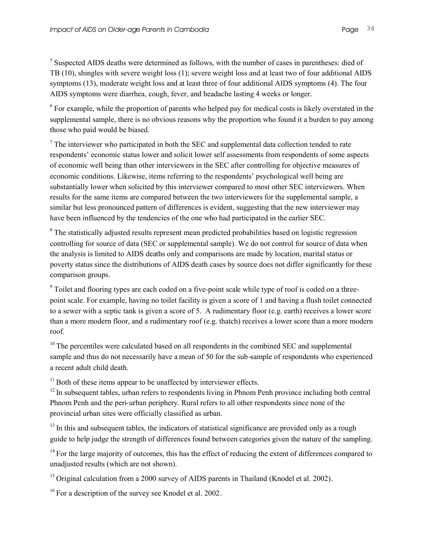<sup>5</sup> Suspected AIDS deaths were determined as follows, with the number of cases in parentheses: died of TB (10), shingles with severe weight loss (1); severe weight loss and at least two of four additional AIDS symptoms (13), moderate weight loss and at least three of four additional AIDS symptoms (4). The four AIDS symptoms were diarrhea, cough, fever, and headache lasting 4 weeks or longer.

<sup>6</sup> For example, while the proportion of parents who helped pay for medical costs is likely overstated in the supplemental sample, there is no obvious reasons why the proportion who found it a burden to pay among those who paid would be biased.

 $<sup>7</sup>$  The interviewer who participated in both the SEC and supplemental data collection tended to rate</sup> respondents' economic status lower and solicit lower self assessments from respondents of some aspects of economic well being than other interviewers in the SEC after controlling for objective measures of economic conditions. Likewise, items referring to the respondents' psychological well being are substantially lower when solicited by this interviewer compared to most other SEC interviewers. When results for the same items are compared between the two interviewers for the supplemental sample, a similar but less pronounced pattern of differences is evident, suggesting that the new interviewer may have been influenced by the tendencies of the one who had participated in the earlier SEC.

<sup>8</sup> The statistically adjusted results represent mean predicted probabilities based on logistic regression controlling for source of data (SEC or supplemental sample). We do not control for source of data when the analysis is limited to AIDS deaths only and comparisons are made by location, marital status or poverty status since the distributions of AIDS death cases by source does not differ significantly for these comparison groups.

<sup>9</sup> Toilet and flooring types are each coded on a five-point scale while type of roof is coded on a threepoint scale. For example, having no toilet facility is given a score of 1 and having a flush toilet connected to a sewer with a septic tank is given a score of 5. A rudimentary floor (e.g. earth) receives a lower score than a more modern floor, and a rudimentary roof (e.g. thatch) receives a lower score than a more modern roof.

 $10$  The percentiles were calculated based on all respondents in the combined SEC and supplemental sample and thus do not necessarily have a mean of 50 for the sub-sample of respondents who experienced a recent adult child death.

 $11$  Both of these items appear to be unaffected by interviewer effects.

 $12$  In subsequent tables, urban refers to respondents living in Phnom Penh province including both central Phnom Penh and the peri-urban periphery. Rural refers to all other respondents since none of the provincial urban sites were officially classified as urban.

<sup>13</sup> In this and subsequent tables, the indicators of statistical significance are provided only as a rough guide to help judge the strength of differences found between categories given the nature of the sampling.

 $14$  For the large majority of outcomes, this has the effect of reducing the extent of differences compared to unadjusted results (which are not shown).

<sup>15</sup> Original calculation from a 2000 survey of AIDS parents in Thailand (Knodel et al. 2002).

<sup>16</sup> For a description of the survey see Knodel et al. 2002.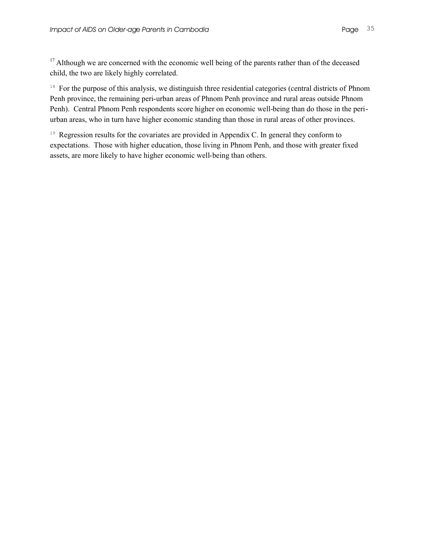<sup>17</sup> Although we are concerned with the economic well being of the parents rather than of the deceased child, the two are likely highly correlated.

<sup>18</sup> For the purpose of this analysis, we distinguish three residential categories (central districts of Phnom Penh province, the remaining peri-urban areas of Phnom Penh province and rural areas outside Phnom Penh). Central Phnom Penh respondents score higher on economic well-being than do those in the periurban areas, who in turn have higher economic standing than those in rural areas of other provinces.

<sup>19</sup> Regression results for the covariates are provided in Appendix C. In general they conform to expectations. Those with higher education, those living in Phnom Penh, and those with greater fixed assets, are more likely to have higher economic well-being than others.